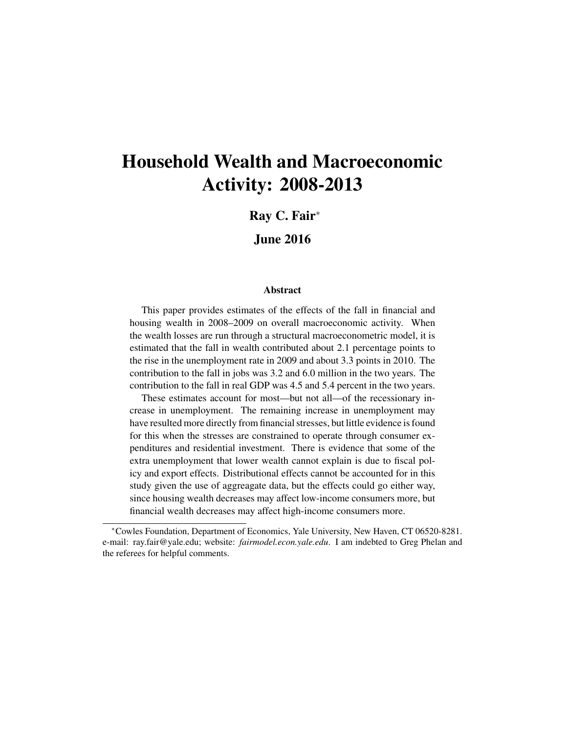# Household Wealth and Macroeconomic Activity: 2008-2013

Ray C. Fair<sup>∗</sup>

June 2016

#### Abstract

This paper provides estimates of the effects of the fall in financial and housing wealth in 2008–2009 on overall macroeconomic activity. When the wealth losses are run through a structural macroeconometric model, it is estimated that the fall in wealth contributed about 2.1 percentage points to the rise in the unemployment rate in 2009 and about 3.3 points in 2010. The contribution to the fall in jobs was 3.2 and 6.0 million in the two years. The contribution to the fall in real GDP was 4.5 and 5.4 percent in the two years.

These estimates account for most—but not all—of the recessionary increase in unemployment. The remaining increase in unemployment may have resulted more directly from financial stresses, but little evidence is found for this when the stresses are constrained to operate through consumer expenditures and residential investment. There is evidence that some of the extra unemployment that lower wealth cannot explain is due to fiscal policy and export effects. Distributional effects cannot be accounted for in this study given the use of aggreagate data, but the effects could go either way, since housing wealth decreases may affect low-income consumers more, but financial wealth decreases may affect high-income consumers more.

<sup>∗</sup>Cowles Foundation, Department of Economics, Yale University, New Haven, CT 06520-8281. e-mail: ray.fair@yale.edu; website: *fairmodel.econ.yale.edu*. I am indebted to Greg Phelan and the referees for helpful comments.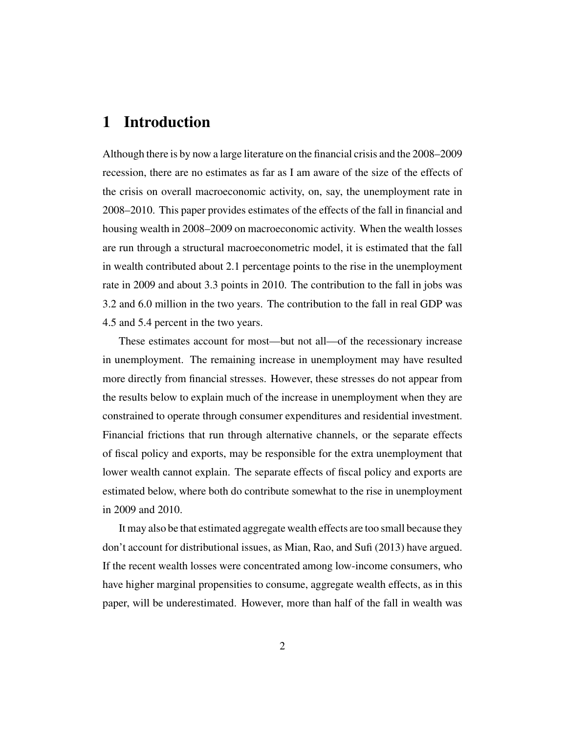# 1 Introduction

Although there is by now a large literature on the financial crisis and the 2008–2009 recession, there are no estimates as far as I am aware of the size of the effects of the crisis on overall macroeconomic activity, on, say, the unemployment rate in 2008–2010. This paper provides estimates of the effects of the fall in financial and housing wealth in 2008–2009 on macroeconomic activity. When the wealth losses are run through a structural macroeconometric model, it is estimated that the fall in wealth contributed about 2.1 percentage points to the rise in the unemployment rate in 2009 and about 3.3 points in 2010. The contribution to the fall in jobs was 3.2 and 6.0 million in the two years. The contribution to the fall in real GDP was 4.5 and 5.4 percent in the two years.

These estimates account for most—but not all—of the recessionary increase in unemployment. The remaining increase in unemployment may have resulted more directly from financial stresses. However, these stresses do not appear from the results below to explain much of the increase in unemployment when they are constrained to operate through consumer expenditures and residential investment. Financial frictions that run through alternative channels, or the separate effects of fiscal policy and exports, may be responsible for the extra unemployment that lower wealth cannot explain. The separate effects of fiscal policy and exports are estimated below, where both do contribute somewhat to the rise in unemployment in 2009 and 2010.

It may also be that estimated aggregate wealth effects are too small because they don't account for distributional issues, as Mian, Rao, and Sufi (2013) have argued. If the recent wealth losses were concentrated among low-income consumers, who have higher marginal propensities to consume, aggregate wealth effects, as in this paper, will be underestimated. However, more than half of the fall in wealth was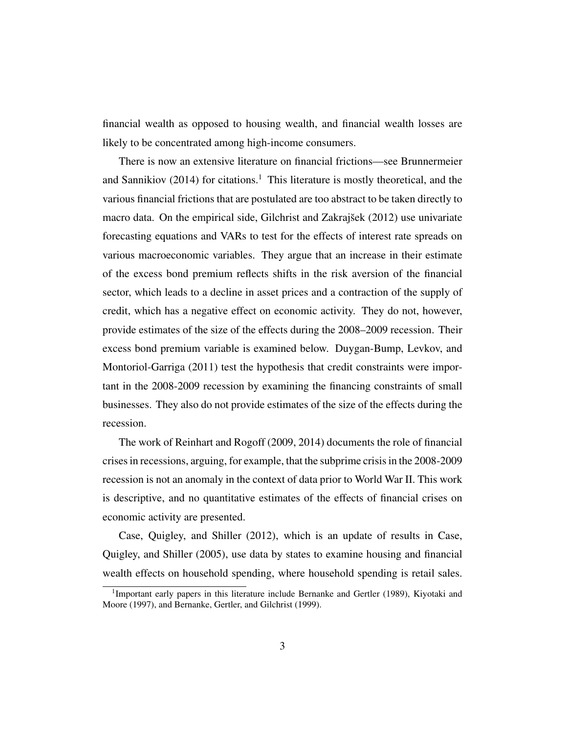financial wealth as opposed to housing wealth, and financial wealth losses are likely to be concentrated among high-income consumers.

There is now an extensive literature on financial frictions—see Brunnermeier and Sannikiov  $(2014)$  for citations.<sup>1</sup> This literature is mostly theoretical, and the various financial frictions that are postulated are too abstract to be taken directly to macro data. On the empirical side, Gilchrist and Zakrajšek (2012) use univariate forecasting equations and VARs to test for the effects of interest rate spreads on various macroeconomic variables. They argue that an increase in their estimate of the excess bond premium reflects shifts in the risk aversion of the financial sector, which leads to a decline in asset prices and a contraction of the supply of credit, which has a negative effect on economic activity. They do not, however, provide estimates of the size of the effects during the 2008–2009 recession. Their excess bond premium variable is examined below. Duygan-Bump, Levkov, and Montoriol-Garriga (2011) test the hypothesis that credit constraints were important in the 2008-2009 recession by examining the financing constraints of small businesses. They also do not provide estimates of the size of the effects during the recession.

The work of Reinhart and Rogoff (2009, 2014) documents the role of financial crises in recessions, arguing, for example, that the subprime crisis in the 2008-2009 recession is not an anomaly in the context of data prior to World War II. This work is descriptive, and no quantitative estimates of the effects of financial crises on economic activity are presented.

Case, Quigley, and Shiller (2012), which is an update of results in Case, Quigley, and Shiller (2005), use data by states to examine housing and financial wealth effects on household spending, where household spending is retail sales.

<sup>&</sup>lt;sup>1</sup>Important early papers in this literature include Bernanke and Gertler (1989), Kiyotaki and Moore (1997), and Bernanke, Gertler, and Gilchrist (1999).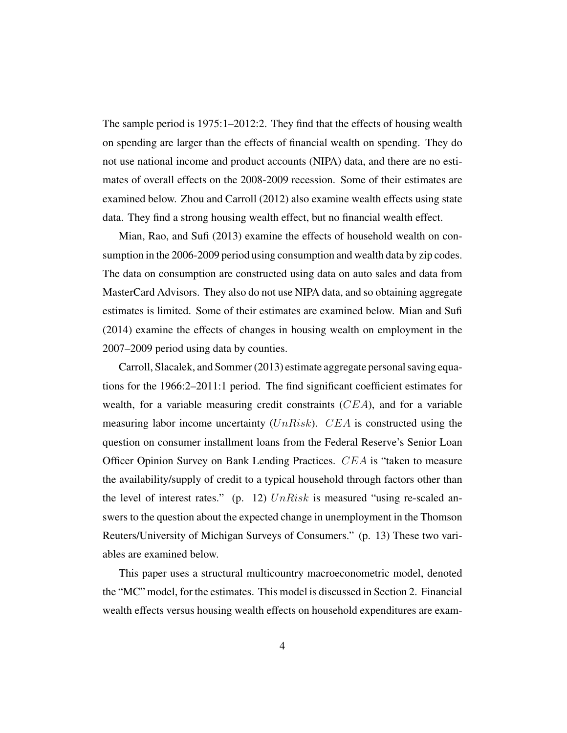The sample period is 1975:1–2012:2. They find that the effects of housing wealth on spending are larger than the effects of financial wealth on spending. They do not use national income and product accounts (NIPA) data, and there are no estimates of overall effects on the 2008-2009 recession. Some of their estimates are examined below. Zhou and Carroll (2012) also examine wealth effects using state data. They find a strong housing wealth effect, but no financial wealth effect.

Mian, Rao, and Sufi (2013) examine the effects of household wealth on consumption in the 2006-2009 period using consumption and wealth data by zip codes. The data on consumption are constructed using data on auto sales and data from MasterCard Advisors. They also do not use NIPA data, and so obtaining aggregate estimates is limited. Some of their estimates are examined below. Mian and Sufi (2014) examine the effects of changes in housing wealth on employment in the 2007–2009 period using data by counties.

Carroll, Slacalek, and Sommer (2013) estimate aggregate personal saving equations for the 1966:2–2011:1 period. The find significant coefficient estimates for wealth, for a variable measuring credit constraints  $(CEA)$ , and for a variable measuring labor income uncertainty  $(UnRisk)$ . CEA is constructed using the question on consumer installment loans from the Federal Reserve's Senior Loan Officer Opinion Survey on Bank Lending Practices. CEA is "taken to measure the availability/supply of credit to a typical household through factors other than the level of interest rates." (p. 12)  $UnRisk$  is measured "using re-scaled answers to the question about the expected change in unemployment in the Thomson Reuters/University of Michigan Surveys of Consumers." (p. 13) These two variables are examined below.

This paper uses a structural multicountry macroeconometric model, denoted the "MC" model, for the estimates. This model is discussed in Section 2. Financial wealth effects versus housing wealth effects on household expenditures are exam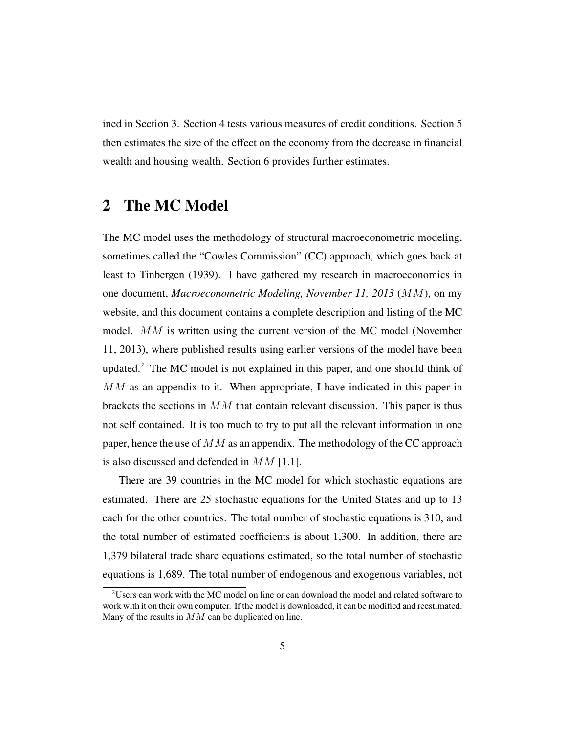ined in Section 3. Section 4 tests various measures of credit conditions. Section 5 then estimates the size of the effect on the economy from the decrease in financial wealth and housing wealth. Section 6 provides further estimates.

### 2 The MC Model

The MC model uses the methodology of structural macroeconometric modeling, sometimes called the "Cowles Commission" (CC) approach, which goes back at least to Tinbergen (1939). I have gathered my research in macroeconomics in one document, *Macroeconometric Modeling, November 11, 2013* (MM), on my website, and this document contains a complete description and listing of the MC model. MM is written using the current version of the MC model (November 11, 2013), where published results using earlier versions of the model have been updated.<sup>2</sup> The MC model is not explained in this paper, and one should think of MM as an appendix to it. When appropriate, I have indicated in this paper in brackets the sections in  $MM$  that contain relevant discussion. This paper is thus not self contained. It is too much to try to put all the relevant information in one paper, hence the use of  $MM$  as an appendix. The methodology of the CC approach is also discussed and defended in  $MM$  [1.1].

There are 39 countries in the MC model for which stochastic equations are estimated. There are 25 stochastic equations for the United States and up to 13 each for the other countries. The total number of stochastic equations is 310, and the total number of estimated coefficients is about 1,300. In addition, there are 1,379 bilateral trade share equations estimated, so the total number of stochastic equations is 1,689. The total number of endogenous and exogenous variables, not

<sup>&</sup>lt;sup>2</sup>Users can work with the MC model on line or can download the model and related software to work with it on their own computer. If the model is downloaded, it can be modified and reestimated. Many of the results in MM can be duplicated on line.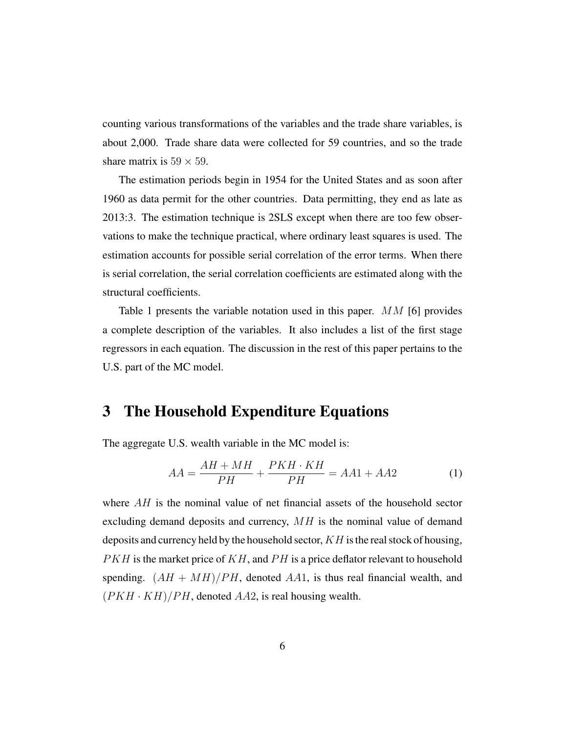counting various transformations of the variables and the trade share variables, is about 2,000. Trade share data were collected for 59 countries, and so the trade share matrix is  $59 \times 59$ .

The estimation periods begin in 1954 for the United States and as soon after 1960 as data permit for the other countries. Data permitting, they end as late as 2013:3. The estimation technique is 2SLS except when there are too few observations to make the technique practical, where ordinary least squares is used. The estimation accounts for possible serial correlation of the error terms. When there is serial correlation, the serial correlation coefficients are estimated along with the structural coefficients.

Table 1 presents the variable notation used in this paper.  $MM$  [6] provides a complete description of the variables. It also includes a list of the first stage regressors in each equation. The discussion in the rest of this paper pertains to the U.S. part of the MC model.

### 3 The Household Expenditure Equations

The aggregate U.S. wealth variable in the MC model is:

$$
AA = \frac{AH + MH}{PH} + \frac{PKH \cdot KH}{PH} = AA1 + AA2 \tag{1}
$$

where  $AH$  is the nominal value of net financial assets of the household sector excluding demand deposits and currency,  $MH$  is the nominal value of demand deposits and currency held by the household sector,  $KH$  is the real stock of housing,  $PKH$  is the market price of  $KH$ , and  $PH$  is a price deflator relevant to household spending.  $(AH + MH)/PH$ , denoted AA1, is thus real financial wealth, and  $(PKH \cdot KH)/PH$ , denoted AA2, is real housing wealth.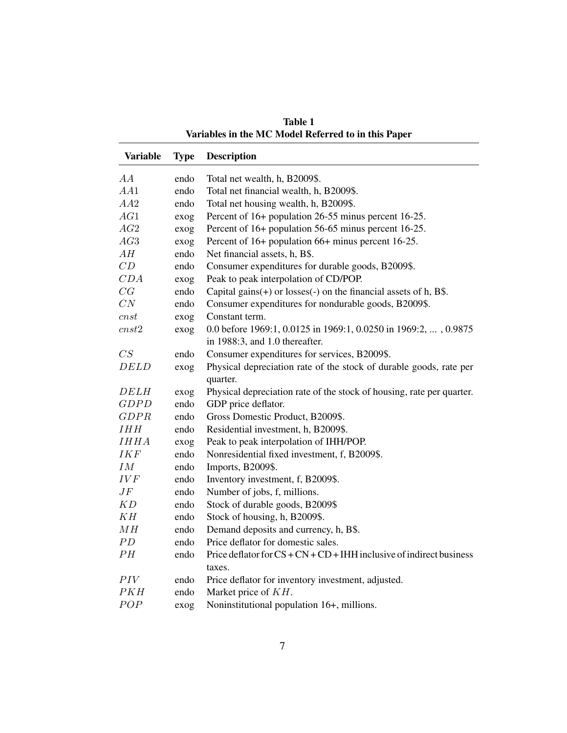| <b>Variable</b>    | <b>Type</b> | <b>Description</b>                                                     |
|--------------------|-------------|------------------------------------------------------------------------|
| AA                 | endo        | Total net wealth, h, B2009\$.                                          |
| AA1                | endo        | Total net financial wealth, h, B2009\$.                                |
| AA2                | endo        | Total net housing wealth, h, B2009\$.                                  |
| AG1                | exog        | Percent of 16+ population 26-55 minus percent 16-25.                   |
| AG2                | exog        | Percent of 16+ population 56-65 minus percent 16-25.                   |
| AG3                | exog        | Percent of 16+ population 66+ minus percent 16-25.                     |
| AH                 | endo        | Net financial assets, h, B\$.                                          |
| CD                 | endo        | Consumer expenditures for durable goods, B2009\$.                      |
| CDA                | exog        | Peak to peak interpolation of CD/POP.                                  |
| CG                 | endo        | Capital gains $(+)$ or losses $(-)$ on the financial assets of h, B\$. |
| CN                 | endo        | Consumer expenditures for nondurable goods, B2009\$.                   |
| cnst               | exog        | Constant term.                                                         |
| $cnst2$            | exog        | 0.0 before 1969:1, 0.0125 in 1969:1, 0.0250 in 1969:2, , 0.9875        |
|                    |             | in 1988:3, and 1.0 thereafter.                                         |
| CS                 | endo        | Consumer expenditures for services, B2009\$.                           |
| <b>DELD</b>        | exog        | Physical depreciation rate of the stock of durable goods, rate per     |
|                    |             | quarter.                                                               |
| <b>DELH</b>        | exog        | Physical depreciation rate of the stock of housing, rate per quarter.  |
| <b>GDPD</b>        | endo        | GDP price deflator.                                                    |
| GDPR               | endo        | Gross Domestic Product, B2009\$.                                       |
| IHH                | endo        | Residential investment, h, B2009\$.                                    |
| <b>IHHA</b>        | exog        | Peak to peak interpolation of IHH/POP.                                 |
| <b>IKF</b>         | endo        | Nonresidential fixed investment, f, B2009\$.                           |
| ${\cal I}{\cal M}$ | endo        | Imports, B2009\$.                                                      |
| <b>IVF</b>         | endo        | Inventory investment, f, B2009\$.                                      |
| $J\bar{F}$         | endo        | Number of jobs, f, millions.                                           |
| KD                 | endo        | Stock of durable goods, B2009\$                                        |
| KH                 | endo        | Stock of housing, h, B2009\$.                                          |
| MH                 | endo        | Demand deposits and currency, h, B\$.                                  |
| PD                 | endo        | Price deflator for domestic sales.                                     |
| PH                 | endo        | Price deflator for $CS + CN + CD + IHH$ inclusive of indirect business |
|                    |             | taxes.                                                                 |
| PIV                | endo        | Price deflator for inventory investment, adjusted.                     |
| PKH                | endo        | Market price of KH.                                                    |
| POP                | exog        | Noninstitutional population 16+, millions.                             |

Table 1 Variables in the MC Model Referred to in this Paper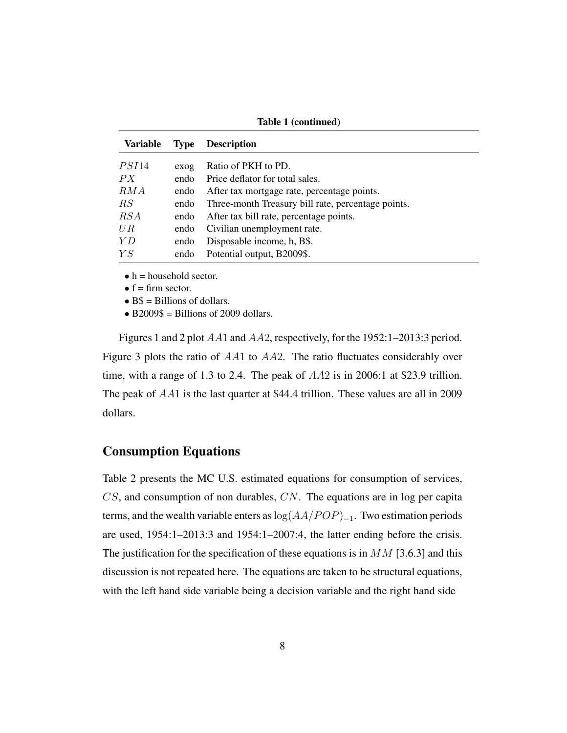| <b>Variable</b> | <b>Type</b> | <b>Description</b>                                 |
|-----------------|-------------|----------------------------------------------------|
| PSI14           |             | Ratio of PKH to PD.                                |
|                 | exog        |                                                    |
| PX              | endo        | Price deflator for total sales.                    |
| RMA             | endo        | After tax mortgage rate, percentage points.        |
| RS              | endo        | Three-month Treasury bill rate, percentage points. |
| RSA             | endo        | After tax bill rate, percentage points.            |
| UR.             | endo        | Civilian unemployment rate.                        |
| YD              | endo        | Disposable income, h, B\$.                         |
| YS              | endo        | Potential output, B2009\$.                         |

Table 1 (continued)

 $\bullet$  h = household sector.

 $\bullet$  f = firm sector.

 $\bullet$  B\$ = Billions of dollars.

 $\bullet$  B2009\$ = Billions of 2009 dollars.

Figures 1 and 2 plot AA1 and AA2, respectively, for the 1952:1–2013:3 period. Figure 3 plots the ratio of AA1 to AA2. The ratio fluctuates considerably over time, with a range of 1.3 to 2.4. The peak of AA2 is in 2006:1 at \$23.9 trillion. The peak of AA1 is the last quarter at \$44.4 trillion. These values are all in 2009 dollars.

#### Consumption Equations

Table 2 presents the MC U.S. estimated equations for consumption of services,  $CS$ , and consumption of non durables,  $CN$ . The equations are in log per capita terms, and the wealth variable enters as  $log(AA/POP)_{-1}$ . Two estimation periods are used, 1954:1–2013:3 and 1954:1–2007:4, the latter ending before the crisis. The justification for the specification of these equations is in  $MM$  [3.6.3] and this discussion is not repeated here. The equations are taken to be structural equations, with the left hand side variable being a decision variable and the right hand side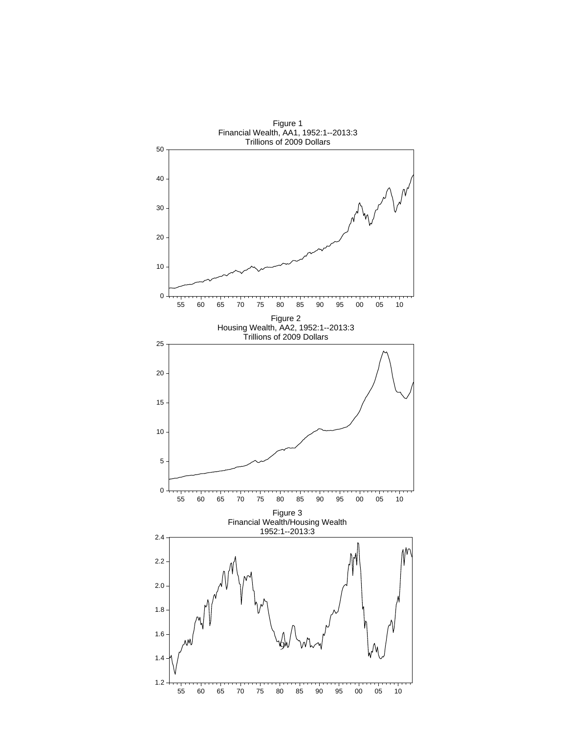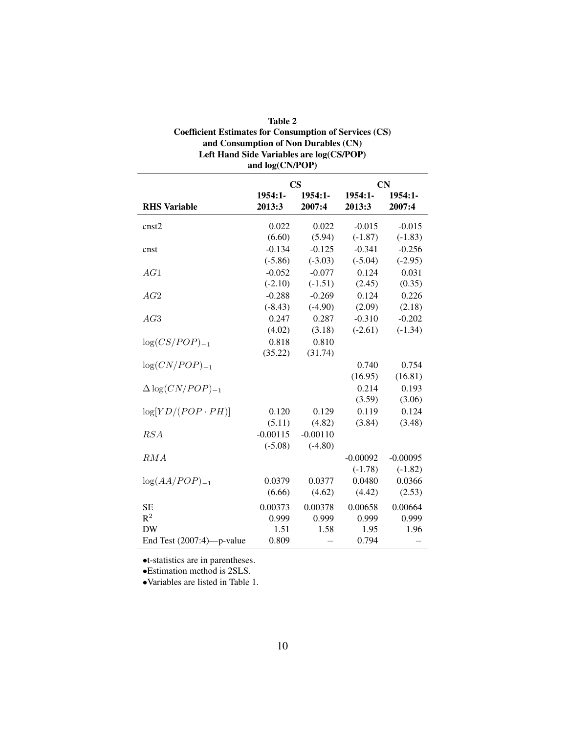| Table 2                                                       |
|---------------------------------------------------------------|
| <b>Coefficient Estimates for Consumption of Services (CS)</b> |
| and Consumption of Non Durables (CN)                          |
| Left Hand Side Variables are log(CS/POP)                      |
| and $log(CN/POP)$                                             |

|                              |            | CS         |            | CN         |
|------------------------------|------------|------------|------------|------------|
|                              | $1954:1-$  | $1954:1-$  | $1954:1-$  | 1954:1-    |
| <b>RHS</b> Variable          | 2013:3     | 2007:4     | 2013:3     | 2007:4     |
| cnst2                        | 0.022      | 0.022      | $-0.015$   | $-0.015$   |
|                              | (6.60)     | (5.94)     | $(-1.87)$  | $(-1.83)$  |
| cnst                         | $-0.134$   | $-0.125$   | $-0.341$   | $-0.256$   |
|                              | $(-5.86)$  | $(-3.03)$  | $(-5.04)$  | $(-2.95)$  |
| AG1                          | $-0.052$   | $-0.077$   | 0.124      | 0.031      |
|                              | $(-2.10)$  | $(-1.51)$  | (2.45)     | (0.35)     |
| AG2                          | $-0.288$   | $-0.269$   | 0.124      | 0.226      |
|                              | $(-8.43)$  | $(-4.90)$  | (2.09)     | (2.18)     |
| AG3                          | 0.247      | 0.287      | $-0.310$   | $-0.202$   |
|                              | (4.02)     | (3.18)     | $(-2.61)$  | $(-1.34)$  |
| $log(CS/POP)_{-1}$           | 0.818      | 0.810      |            |            |
|                              | (35.22)    | (31.74)    |            |            |
| $log(CN/POP)_{-1}$           |            |            | 0.740      | 0.754      |
|                              |            |            | (16.95)    | (16.81)    |
| $\Delta \log(CN/POP)_{-1}$   |            |            | 0.214      | 0.193      |
|                              |            |            | (3.59)     | (3.06)     |
| $log[YD/(POP \cdot PH)]$     | 0.120      | 0.129      | 0.119      | 0.124      |
|                              | (5.11)     | (4.82)     | (3.84)     | (3.48)     |
| RSA                          | $-0.00115$ | $-0.00110$ |            |            |
|                              | $(-5.08)$  | $(-4.80)$  |            |            |
| RMA                          |            |            | $-0.00092$ | $-0.00095$ |
|                              |            |            | $(-1.78)$  | $(-1.82)$  |
| $log(AA/POP)_{-1}$           | 0.0379     | 0.0377     | 0.0480     | 0.0366     |
|                              | (6.66)     | (4.62)     | (4.42)     | (2.53)     |
| <b>SE</b>                    | 0.00373    | 0.00378    | 0.00658    | 0.00664    |
| $R^2$                        | 0.999      | 0.999      | 0.999      | 0.999      |
| <b>DW</b>                    | 1.51       | 1.58       | 1.95       | 1.96       |
| End Test $(2007:4)$ —p-value | 0.809      |            | 0.794      |            |

•t-statistics are in parentheses.

•Estimation method is 2SLS.

•Variables are listed in Table 1.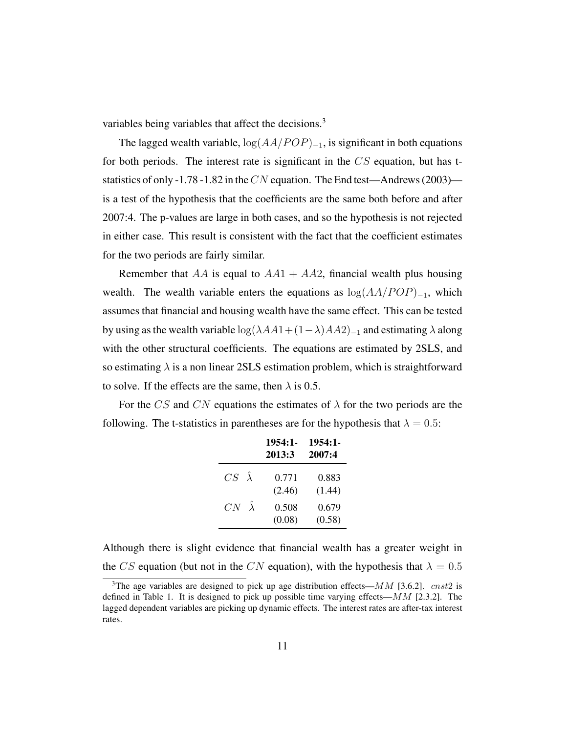variables being variables that affect the decisions.<sup>3</sup>

The lagged wealth variable,  $log(AA/POP)_{-1}$ , is significant in both equations for both periods. The interest rate is significant in the  $CS$  equation, but has tstatistics of only -1.78 -1.82 in the CN equation. The End test—Andrews (2003) is a test of the hypothesis that the coefficients are the same both before and after 2007:4. The p-values are large in both cases, and so the hypothesis is not rejected in either case. This result is consistent with the fact that the coefficient estimates for the two periods are fairly similar.

Remember that AA is equal to  $AA1 + AA2$ , financial wealth plus housing wealth. The wealth variable enters the equations as  $log(AA/POP)_{-1}$ , which assumes that financial and housing wealth have the same effect. This can be tested by using as the wealth variable  $\log(\lambda AA1+(1-\lambda)AA2)_{-1}$  and estimating  $\lambda$  along with the other structural coefficients. The equations are estimated by 2SLS, and so estimating  $\lambda$  is a non linear 2SLS estimation problem, which is straightforward to solve. If the effects are the same, then  $\lambda$  is 0.5.

For the CS and CN equations the estimates of  $\lambda$  for the two periods are the following. The t-statistics in parentheses are for the hypothesis that  $\lambda = 0.5$ :

|                      | $1954:1-$<br>2013:3 | $1954:1-$<br>2007:4 |
|----------------------|---------------------|---------------------|
| $CS \ \hat{\lambda}$ | 0.771<br>(2.46)     | 0.883<br>(1.44)     |
| $CN \hat{\lambda}$   | 0.508<br>(0.08)     | 0.679<br>(0.58)     |

Although there is slight evidence that financial wealth has a greater weight in the CS equation (but not in the CN equation), with the hypothesis that  $\lambda = 0.5$ 

<sup>&</sup>lt;sup>3</sup>The age variables are designed to pick up age distribution effects— $MM$  [3.6.2]. *cnst2* is defined in Table 1. It is designed to pick up possible time varying effects— $MM$  [2.3.2]. The lagged dependent variables are picking up dynamic effects. The interest rates are after-tax interest rates.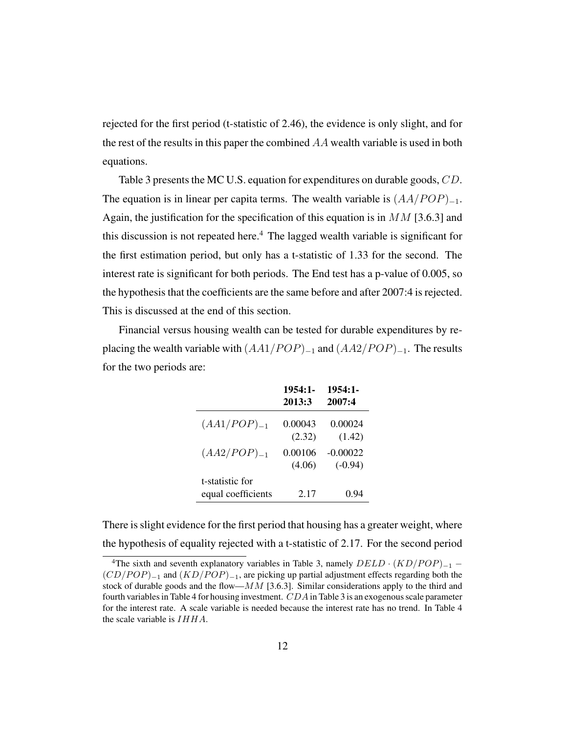rejected for the first period (t-statistic of 2.46), the evidence is only slight, and for the rest of the results in this paper the combined AA wealth variable is used in both equations.

Table 3 presents the MC U.S. equation for expenditures on durable goods, CD. The equation is in linear per capita terms. The wealth variable is  $(AA/POP)_{-1}$ . Again, the justification for the specification of this equation is in  $MM$  [3.6.3] and this discussion is not repeated here.<sup>4</sup> The lagged wealth variable is significant for the first estimation period, but only has a t-statistic of 1.33 for the second. The interest rate is significant for both periods. The End test has a p-value of 0.005, so the hypothesis that the coefficients are the same before and after 2007:4 is rejected. This is discussed at the end of this section.

Financial versus housing wealth can be tested for durable expenditures by replacing the wealth variable with  $(AA1/POP)_{-1}$  and  $(AA2/POP)_{-1}$ . The results for the two periods are:

|                                       | $1954:1-$         | $1954:1-$               |
|---------------------------------------|-------------------|-------------------------|
|                                       | 2013:3            | 2007:4                  |
| $(AA1/POP)_{-1}$                      | 0.00043<br>(2.32) | 0.00024<br>(1.42)       |
| $(AA2/POP)_{-1}$                      | 0.00106<br>(4.06) | $-0.00022$<br>$(-0.94)$ |
| t-statistic for<br>equal coefficients | 2.17              | 0.94                    |

There is slight evidence for the first period that housing has a greater weight, where the hypothesis of equality rejected with a t-statistic of 2.17. For the second period

<sup>&</sup>lt;sup>4</sup>The sixth and seventh explanatory variables in Table 3, namely  $DELD \cdot (KD/POP)_{-1}$  –  $(CD/POP)_{-1}$  and  $(KD/POP)_{-1}$ , are picking up partial adjustment effects regarding both the stock of durable goods and the flow— $MM$  [3.6.3]. Similar considerations apply to the third and fourth variables in Table 4 for housing investment.  $CDA$  in Table 3 is an exogenous scale parameter for the interest rate. A scale variable is needed because the interest rate has no trend. In Table 4 the scale variable is  $IHHA$ .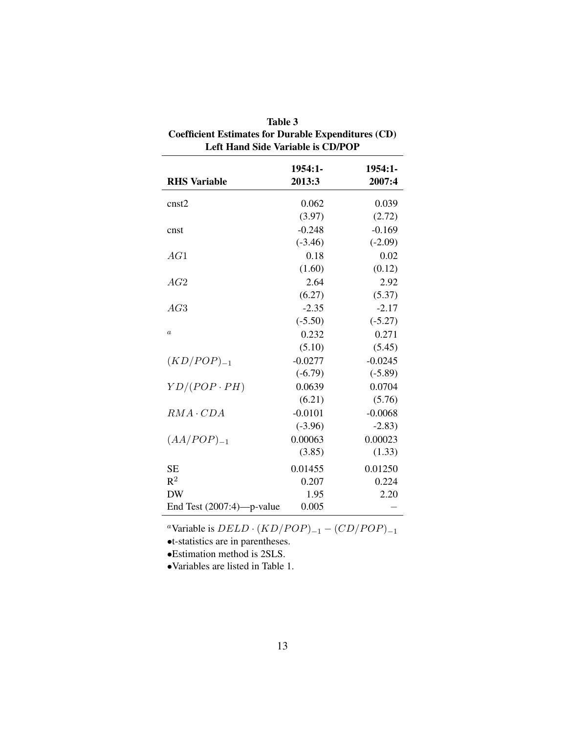| <b>Left Hand Side Variable is CD/POP</b> |                     |                   |  |  |  |
|------------------------------------------|---------------------|-------------------|--|--|--|
| <b>RHS</b> Variable                      | $1954:1-$<br>2013:3 | 1954:1-<br>2007:4 |  |  |  |
| cnst2                                    | 0.062               | 0.039             |  |  |  |
|                                          | (3.97)              | (2.72)            |  |  |  |
| cnst                                     | $-0.248$            | $-0.169$          |  |  |  |
|                                          | $(-3.46)$           | $(-2.09)$         |  |  |  |
| AG1                                      | 0.18                | 0.02              |  |  |  |
|                                          | (1.60)              | (0.12)            |  |  |  |
| AG2                                      | 2.64                | 2.92              |  |  |  |
|                                          | (6.27)              | (5.37)            |  |  |  |
| AG3                                      | $-2.35$             | $-2.17$           |  |  |  |
|                                          | $(-5.50)$           | $(-5.27)$         |  |  |  |
| $\boldsymbol{a}$                         | 0.232               | 0.271             |  |  |  |
|                                          | (5.10)              | (5.45)            |  |  |  |
| $(KD/POP)_{-1}$                          | $-0.0277$           | $-0.0245$         |  |  |  |
|                                          | $(-6.79)$           | $(-5.89)$         |  |  |  |
| $YD/(POP \cdot PH)$                      | 0.0639              | 0.0704            |  |  |  |
|                                          | (6.21)              | (5.76)            |  |  |  |
| $RMA \cdot CDA$                          | $-0.0101$           | $-0.0068$         |  |  |  |
|                                          | $(-3.96)$           | $-2.83)$          |  |  |  |
| $(AA/POP)_{-1}$                          | 0.00063             | 0.00023           |  |  |  |
|                                          | (3.85)              | (1.33)            |  |  |  |
| <b>SE</b>                                | 0.01455             | 0.01250           |  |  |  |
| $\mathsf{R}^2$                           | 0.207               | 0.224             |  |  |  |
| <b>DW</b>                                | 1.95                | 2.20              |  |  |  |
| End Test (2007:4)-p-value                | 0.005               |                   |  |  |  |

| <b>Table 3</b>                                      |
|-----------------------------------------------------|
| Coefficient Estimates for Durable Expenditures (CD) |
| Left Hand Side Variable is CD/POP                   |

<sup>a</sup>Variable is  $DELD \cdot (KD/POP)_{-1} - (CD/POP)_{-1}$ 

•t-statistics are in parentheses.

•Estimation method is 2SLS.

•Variables are listed in Table 1.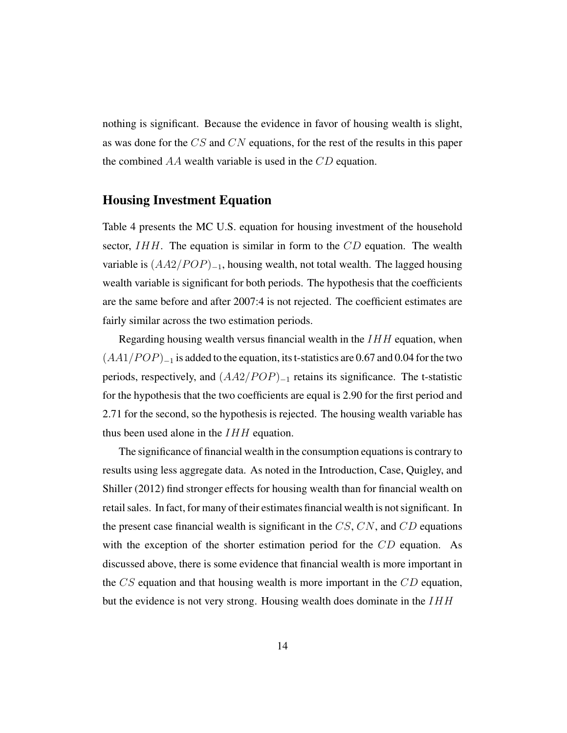nothing is significant. Because the evidence in favor of housing wealth is slight, as was done for the CS and CN equations, for the rest of the results in this paper the combined  $AA$  wealth variable is used in the  $CD$  equation.

#### Housing Investment Equation

Table 4 presents the MC U.S. equation for housing investment of the household sector,  $IHH$ . The equation is similar in form to the  $CD$  equation. The wealth variable is  $(AA2/POP)_{-1}$ , housing wealth, not total wealth. The lagged housing wealth variable is significant for both periods. The hypothesis that the coefficients are the same before and after 2007:4 is not rejected. The coefficient estimates are fairly similar across the two estimation periods.

Regarding housing wealth versus financial wealth in the  $IHH$  equation, when  $(AA1/POP)_{-1}$  is added to the equation, its t-statistics are 0.67 and 0.04 for the two periods, respectively, and  $(AA2/POP)_{-1}$  retains its significance. The t-statistic for the hypothesis that the two coefficients are equal is 2.90 for the first period and 2.71 for the second, so the hypothesis is rejected. The housing wealth variable has thus been used alone in the  $IHH$  equation.

The significance of financial wealth in the consumption equations is contrary to results using less aggregate data. As noted in the Introduction, Case, Quigley, and Shiller (2012) find stronger effects for housing wealth than for financial wealth on retail sales. In fact, for many of their estimates financial wealth is not significant. In the present case financial wealth is significant in the  $CS$ ,  $CN$ , and  $CD$  equations with the exception of the shorter estimation period for the  $CD$  equation. As discussed above, there is some evidence that financial wealth is more important in the  $CS$  equation and that housing wealth is more important in the  $CD$  equation, but the evidence is not very strong. Housing wealth does dominate in the  $IHH$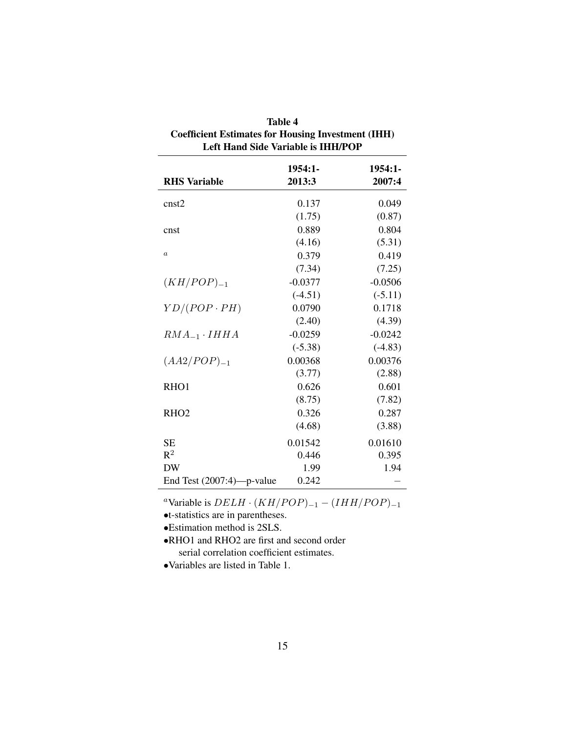| <b>Left Hand Side Variable is IHH/POP</b> |                     |                   |  |  |  |
|-------------------------------------------|---------------------|-------------------|--|--|--|
| <b>RHS Variable</b>                       | $1954:1-$<br>2013:3 | 1954:1-<br>2007:4 |  |  |  |
| cnst2                                     | 0.137               | 0.049             |  |  |  |
|                                           | (1.75)              | (0.87)            |  |  |  |
| cnst                                      | 0.889               | 0.804             |  |  |  |
|                                           | (4.16)              | (5.31)            |  |  |  |
| $\boldsymbol{a}$                          | 0.379               | 0.419             |  |  |  |
|                                           | (7.34)              | (7.25)            |  |  |  |
| $(KH/POP)_{-1}$                           | $-0.0377$           | $-0.0506$         |  |  |  |
|                                           | $(-4.51)$           | $(-5.11)$         |  |  |  |
| $YD/(POP \cdot PH)$                       | 0.0790              | 0.1718            |  |  |  |
|                                           | (2.40)              | (4.39)            |  |  |  |
| $RMA_{-1} \cdot IHHA$                     | $-0.0259$           | $-0.0242$         |  |  |  |
|                                           | $(-5.38)$           | $(-4.83)$         |  |  |  |
| $(AA2/POP)_{-1}$                          | 0.00368             | 0.00376           |  |  |  |
|                                           | (3.77)              | (2.88)            |  |  |  |
| RHO1                                      | 0.626               | 0.601             |  |  |  |
|                                           | (8.75)              | (7.82)            |  |  |  |
| RHO <sub>2</sub>                          | 0.326               | 0.287             |  |  |  |
|                                           | (4.68)              | (3.88)            |  |  |  |
| <b>SE</b>                                 | 0.01542             | 0.01610           |  |  |  |
| $\mathbb{R}^2$                            | 0.446               | 0.395             |  |  |  |
| <b>DW</b>                                 | 1.99                | 1.94              |  |  |  |
| End Test $(2007:4)$ —p-value              | 0.242               |                   |  |  |  |

| Table 4                                                   |  |  |  |
|-----------------------------------------------------------|--|--|--|
| <b>Coefficient Estimates for Housing Investment (IHH)</b> |  |  |  |
| Left Hand Side Variable is IHH/POP                        |  |  |  |

<sup>a</sup>Variable is  $DELH \cdot (KH/POP)_{-1} - (IHH/POP)_{-1}$ 

•t-statistics are in parentheses.

•Estimation method is 2SLS.

•RHO1 and RHO2 are first and second order serial correlation coefficient estimates.

•Variables are listed in Table 1.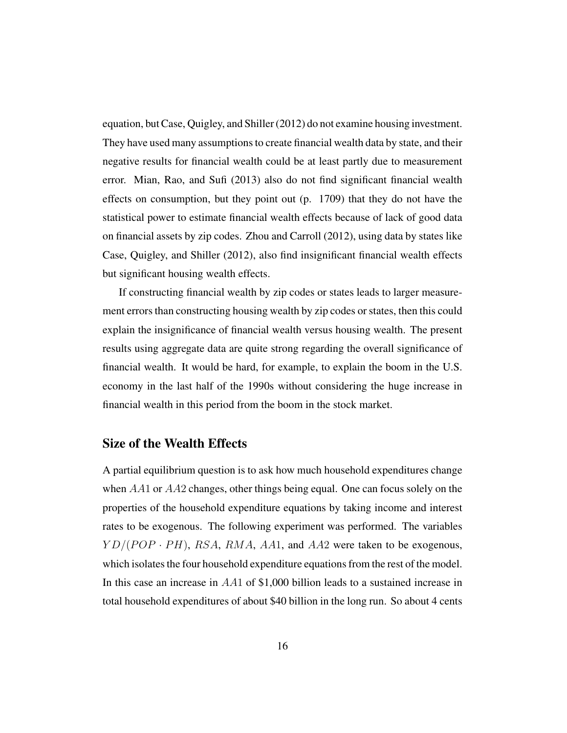equation, but Case, Quigley, and Shiller (2012) do not examine housing investment. They have used many assumptions to create financial wealth data by state, and their negative results for financial wealth could be at least partly due to measurement error. Mian, Rao, and Sufi (2013) also do not find significant financial wealth effects on consumption, but they point out (p. 1709) that they do not have the statistical power to estimate financial wealth effects because of lack of good data on financial assets by zip codes. Zhou and Carroll (2012), using data by states like Case, Quigley, and Shiller (2012), also find insignificant financial wealth effects but significant housing wealth effects.

If constructing financial wealth by zip codes or states leads to larger measurement errors than constructing housing wealth by zip codes or states, then this could explain the insignificance of financial wealth versus housing wealth. The present results using aggregate data are quite strong regarding the overall significance of financial wealth. It would be hard, for example, to explain the boom in the U.S. economy in the last half of the 1990s without considering the huge increase in financial wealth in this period from the boom in the stock market.

#### Size of the Wealth Effects

A partial equilibrium question is to ask how much household expenditures change when AA1 or AA2 changes, other things being equal. One can focus solely on the properties of the household expenditure equations by taking income and interest rates to be exogenous. The following experiment was performed. The variables  $YD/(POP \cdot PH)$ , RSA, RMA, AA1, and AA2 were taken to be exogenous, which isolates the four household expenditure equations from the rest of the model. In this case an increase in AA1 of \$1,000 billion leads to a sustained increase in total household expenditures of about \$40 billion in the long run. So about 4 cents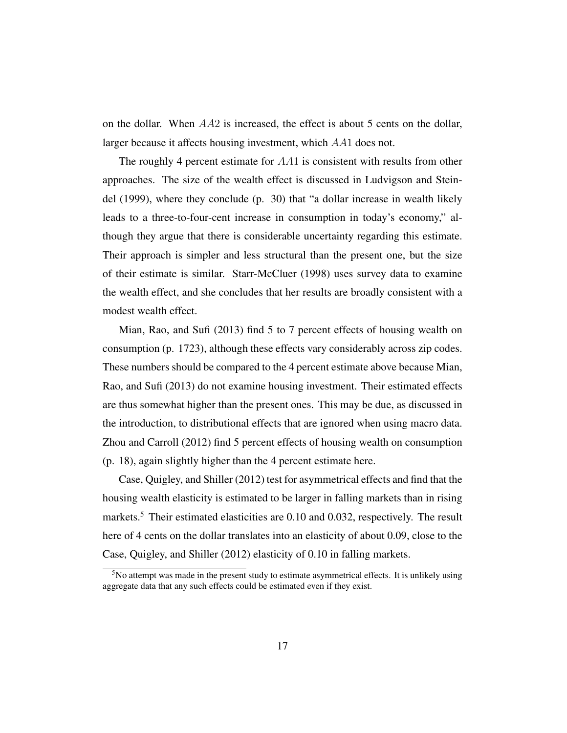on the dollar. When  $AA2$  is increased, the effect is about 5 cents on the dollar, larger because it affects housing investment, which AA1 does not.

The roughly 4 percent estimate for AA1 is consistent with results from other approaches. The size of the wealth effect is discussed in Ludvigson and Steindel (1999), where they conclude (p. 30) that "a dollar increase in wealth likely leads to a three-to-four-cent increase in consumption in today's economy," although they argue that there is considerable uncertainty regarding this estimate. Their approach is simpler and less structural than the present one, but the size of their estimate is similar. Starr-McCluer (1998) uses survey data to examine the wealth effect, and she concludes that her results are broadly consistent with a modest wealth effect.

Mian, Rao, and Sufi (2013) find 5 to 7 percent effects of housing wealth on consumption (p. 1723), although these effects vary considerably across zip codes. These numbers should be compared to the 4 percent estimate above because Mian, Rao, and Sufi (2013) do not examine housing investment. Their estimated effects are thus somewhat higher than the present ones. This may be due, as discussed in the introduction, to distributional effects that are ignored when using macro data. Zhou and Carroll (2012) find 5 percent effects of housing wealth on consumption (p. 18), again slightly higher than the 4 percent estimate here.

Case, Quigley, and Shiller (2012) test for asymmetrical effects and find that the housing wealth elasticity is estimated to be larger in falling markets than in rising markets.<sup>5</sup> Their estimated elasticities are 0.10 and 0.032, respectively. The result here of 4 cents on the dollar translates into an elasticity of about 0.09, close to the Case, Quigley, and Shiller (2012) elasticity of 0.10 in falling markets.

<sup>&</sup>lt;sup>5</sup>No attempt was made in the present study to estimate asymmetrical effects. It is unlikely using aggregate data that any such effects could be estimated even if they exist.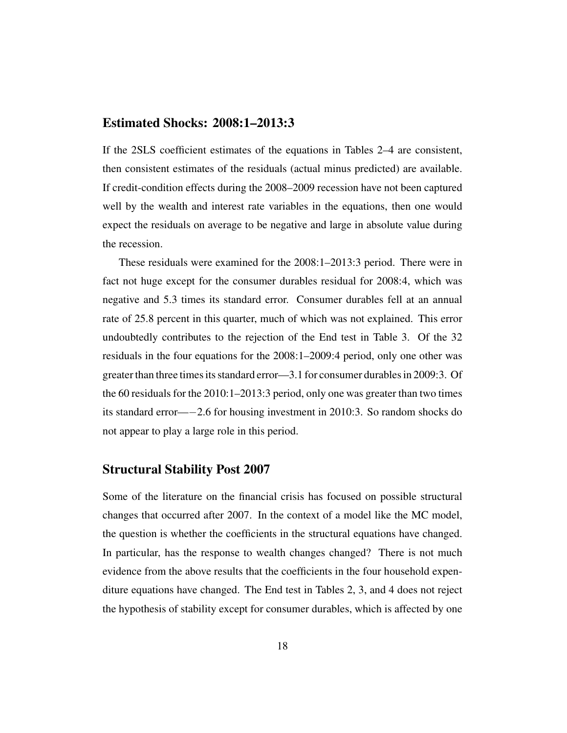#### Estimated Shocks: 2008:1–2013:3

If the 2SLS coefficient estimates of the equations in Tables 2–4 are consistent, then consistent estimates of the residuals (actual minus predicted) are available. If credit-condition effects during the 2008–2009 recession have not been captured well by the wealth and interest rate variables in the equations, then one would expect the residuals on average to be negative and large in absolute value during the recession.

These residuals were examined for the 2008:1–2013:3 period. There were in fact not huge except for the consumer durables residual for 2008:4, which was negative and 5.3 times its standard error. Consumer durables fell at an annual rate of 25.8 percent in this quarter, much of which was not explained. This error undoubtedly contributes to the rejection of the End test in Table 3. Of the 32 residuals in the four equations for the 2008:1–2009:4 period, only one other was greater than three times its standard error—3.1 for consumer durables in 2009:3. Of the 60 residuals for the 2010:1–2013:3 period, only one was greater than two times its standard error—−2.6 for housing investment in 2010:3. So random shocks do not appear to play a large role in this period.

#### Structural Stability Post 2007

Some of the literature on the financial crisis has focused on possible structural changes that occurred after 2007. In the context of a model like the MC model, the question is whether the coefficients in the structural equations have changed. In particular, has the response to wealth changes changed? There is not much evidence from the above results that the coefficients in the four household expenditure equations have changed. The End test in Tables 2, 3, and 4 does not reject the hypothesis of stability except for consumer durables, which is affected by one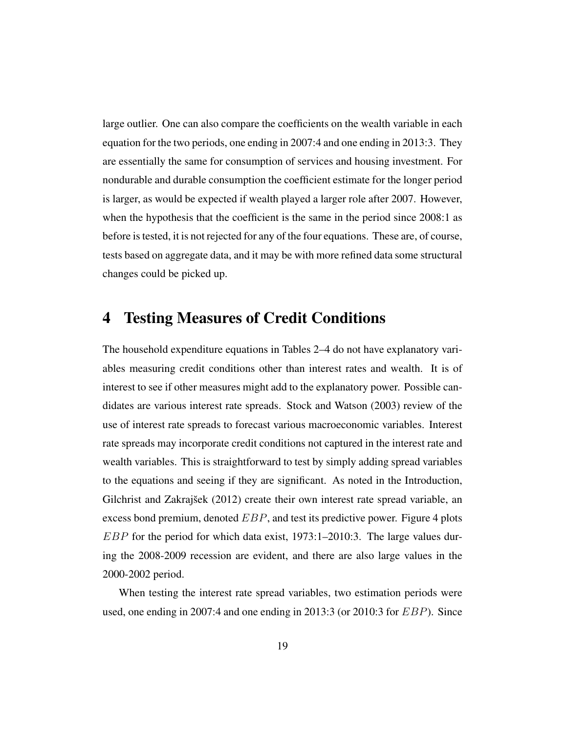large outlier. One can also compare the coefficients on the wealth variable in each equation for the two periods, one ending in 2007:4 and one ending in 2013:3. They are essentially the same for consumption of services and housing investment. For nondurable and durable consumption the coefficient estimate for the longer period is larger, as would be expected if wealth played a larger role after 2007. However, when the hypothesis that the coefficient is the same in the period since 2008:1 as before is tested, it is not rejected for any of the four equations. These are, of course, tests based on aggregate data, and it may be with more refined data some structural changes could be picked up.

## 4 Testing Measures of Credit Conditions

The household expenditure equations in Tables 2–4 do not have explanatory variables measuring credit conditions other than interest rates and wealth. It is of interest to see if other measures might add to the explanatory power. Possible candidates are various interest rate spreads. Stock and Watson (2003) review of the use of interest rate spreads to forecast various macroeconomic variables. Interest rate spreads may incorporate credit conditions not captured in the interest rate and wealth variables. This is straightforward to test by simply adding spread variables to the equations and seeing if they are significant. As noted in the Introduction, Gilchrist and Zakrajšek (2012) create their own interest rate spread variable, an excess bond premium, denoted  $EBP$ , and test its predictive power. Figure 4 plots  $EBP$  for the period for which data exist, 1973:1–2010:3. The large values during the 2008-2009 recession are evident, and there are also large values in the 2000-2002 period.

When testing the interest rate spread variables, two estimation periods were used, one ending in 2007:4 and one ending in 2013:3 (or 2010:3 for EBP). Since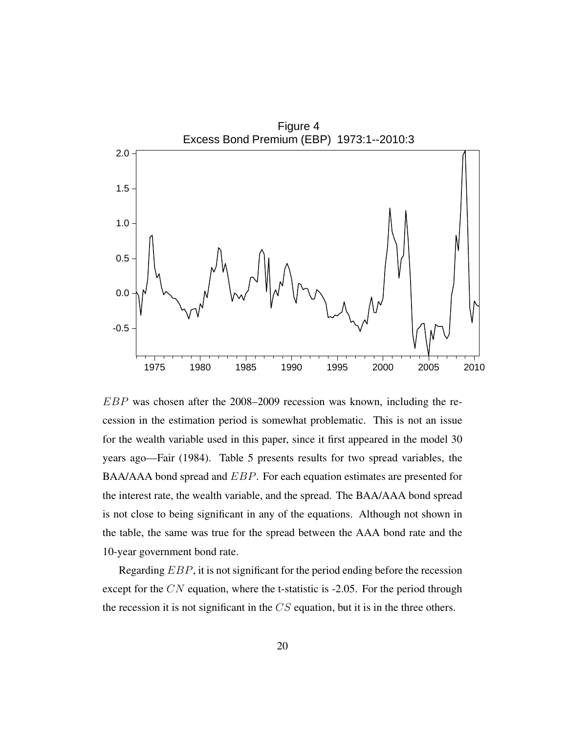

EBP was chosen after the 2008–2009 recession was known, including the recession in the estimation period is somewhat problematic. This is not an issue for the wealth variable used in this paper, since it first appeared in the model 30 years ago—Fair (1984). Table 5 presents results for two spread variables, the BAA/AAA bond spread and EBP. For each equation estimates are presented for the interest rate, the wealth variable, and the spread. The BAA/AAA bond spread is not close to being significant in any of the equations. Although not shown in the table, the same was true for the spread between the AAA bond rate and the 10-year government bond rate.

Regarding EBP, it is not significant for the period ending before the recession except for the CN equation, where the t-statistic is -2.05. For the period through the recession it is not significant in the  $CS$  equation, but it is in the three others.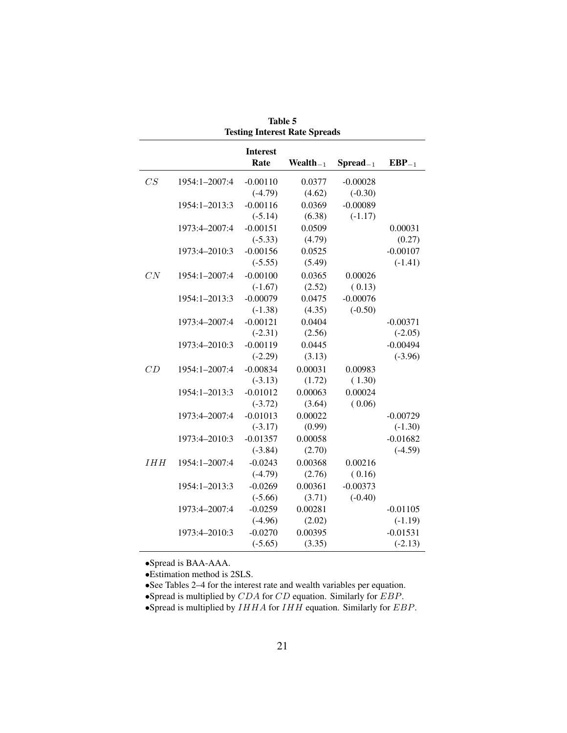|            |               | <b>Interest</b> |                |                   |            |
|------------|---------------|-----------------|----------------|-------------------|------------|
|            |               | Rate            | Wealth $_{-1}$ | $S$ pread $_{-1}$ | $EBP_{-1}$ |
| CS         | 1954:1-2007:4 | $-0.00110$      | 0.0377         | $-0.00028$        |            |
|            |               | $(-4.79)$       | (4.62)         | $(-0.30)$         |            |
|            | 1954:1-2013:3 | $-0.00116$      | 0.0369         | $-0.00089$        |            |
|            |               | $(-5.14)$       | (6.38)         | $(-1.17)$         |            |
|            | 1973:4-2007:4 | $-0.00151$      | 0.0509         |                   | 0.00031    |
|            |               | $(-5.33)$       | (4.79)         |                   | (0.27)     |
|            | 1973:4-2010:3 | $-0.00156$      | 0.0525         |                   | $-0.00107$ |
|            |               | $(-5.55)$       | (5.49)         |                   | $(-1.41)$  |
| CN         | 1954:1-2007:4 | $-0.00100$      | 0.0365         | 0.00026           |            |
|            |               | $(-1.67)$       | (2.52)         | (0.13)            |            |
|            | 1954:1-2013:3 | $-0.00079$      | 0.0475         | $-0.00076$        |            |
|            |               | $(-1.38)$       | (4.35)         | $(-0.50)$         |            |
|            | 1973:4-2007:4 | $-0.00121$      | 0.0404         |                   | $-0.00371$ |
|            |               | $(-2.31)$       | (2.56)         |                   | $(-2.05)$  |
|            | 1973:4-2010:3 | $-0.00119$      | 0.0445         |                   | $-0.00494$ |
|            |               | $(-2.29)$       | (3.13)         |                   | $(-3.96)$  |
| CD         | 1954:1-2007:4 | $-0.00834$      | 0.00031        | 0.00983           |            |
|            |               | $(-3.13)$       | (1.72)         | (1.30)            |            |
|            | 1954:1-2013:3 | $-0.01012$      | 0.00063        | 0.00024           |            |
|            |               | $(-3.72)$       | (3.64)         | (0.06)            |            |
|            | 1973:4-2007:4 | $-0.01013$      | 0.00022        |                   | $-0.00729$ |
|            |               | $(-3.17)$       | (0.99)         |                   | $(-1.30)$  |
|            | 1973:4-2010:3 | $-0.01357$      | 0.00058        |                   | $-0.01682$ |
|            |               | $(-3.84)$       | (2.70)         |                   | $(-4.59)$  |
| <b>IHH</b> | 1954:1-2007:4 | $-0.0243$       | 0.00368        | 0.00216           |            |
|            |               | $(-4.79)$       | (2.76)         | (0.16)            |            |
|            | 1954:1-2013:3 | $-0.0269$       | 0.00361        | $-0.00373$        |            |
|            |               | $(-5.66)$       | (3.71)         | $(-0.40)$         |            |
|            | 1973:4-2007:4 | $-0.0259$       | 0.00281        |                   | $-0.01105$ |
|            |               | $(-4.96)$       | (2.02)         |                   | $(-1.19)$  |
|            | 1973:4-2010:3 | $-0.0270$       | 0.00395        |                   | $-0.01531$ |
|            |               | $(-5.65)$       | (3.35)         |                   | $(-2.13)$  |

Table 5 Testing Interest Rate Spreads

•Spread is BAA-AAA.

•Estimation method is 2SLS.

•See Tables 2–4 for the interest rate and wealth variables per equation.

•Spread is multiplied by  $CDA$  for  $CD$  equation. Similarly for  $EBP$ .

•Spread is multiplied by  $IHHA$  for  $IHH$  equation. Similarly for  $EBP$ .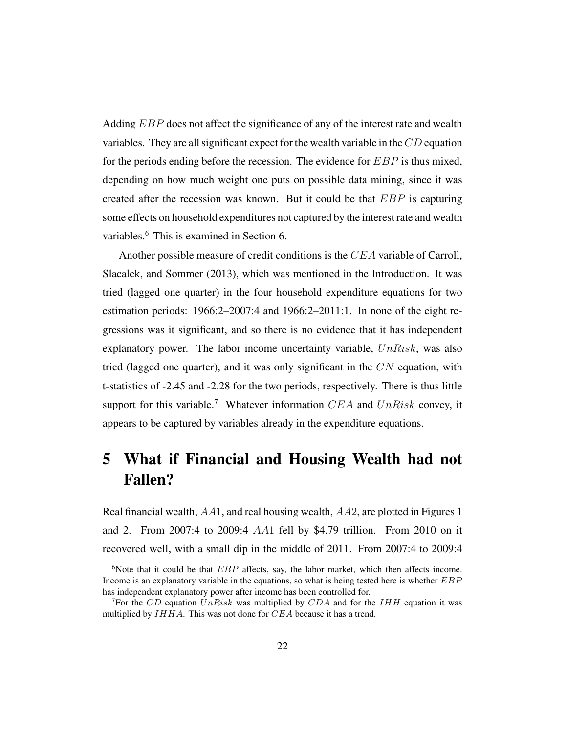Adding *EBP* does not affect the significance of any of the interest rate and wealth variables. They are all significant expect for the wealth variable in the CD equation for the periods ending before the recession. The evidence for  $EBP$  is thus mixed, depending on how much weight one puts on possible data mining, since it was created after the recession was known. But it could be that  $EBP$  is capturing some effects on household expenditures not captured by the interest rate and wealth variables.<sup>6</sup> This is examined in Section 6.

Another possible measure of credit conditions is the CEA variable of Carroll, Slacalek, and Sommer (2013), which was mentioned in the Introduction. It was tried (lagged one quarter) in the four household expenditure equations for two estimation periods: 1966:2–2007:4 and 1966:2–2011:1. In none of the eight regressions was it significant, and so there is no evidence that it has independent explanatory power. The labor income uncertainty variable,  $UnRisk$ , was also tried (lagged one quarter), and it was only significant in the  $CN$  equation, with t-statistics of -2.45 and -2.28 for the two periods, respectively. There is thus little support for this variable.<sup>7</sup> Whatever information  $CEA$  and  $UnRisk$  convey, it appears to be captured by variables already in the expenditure equations.

# 5 What if Financial and Housing Wealth had not Fallen?

Real financial wealth, AA1, and real housing wealth, AA2, are plotted in Figures 1 and 2. From 2007:4 to 2009:4 AA1 fell by \$4.79 trillion. From 2010 on it recovered well, with a small dip in the middle of 2011. From 2007:4 to 2009:4

<sup>&</sup>lt;sup>6</sup>Note that it could be that  $EBP$  affects, say, the labor market, which then affects income. Income is an explanatory variable in the equations, so what is being tested here is whether EBP has independent explanatory power after income has been controlled for.

<sup>&</sup>lt;sup>7</sup>For the CD equation UnRisk was multiplied by CDA and for the IHH equation it was multiplied by  $IHHA$ . This was not done for  $CEA$  because it has a trend.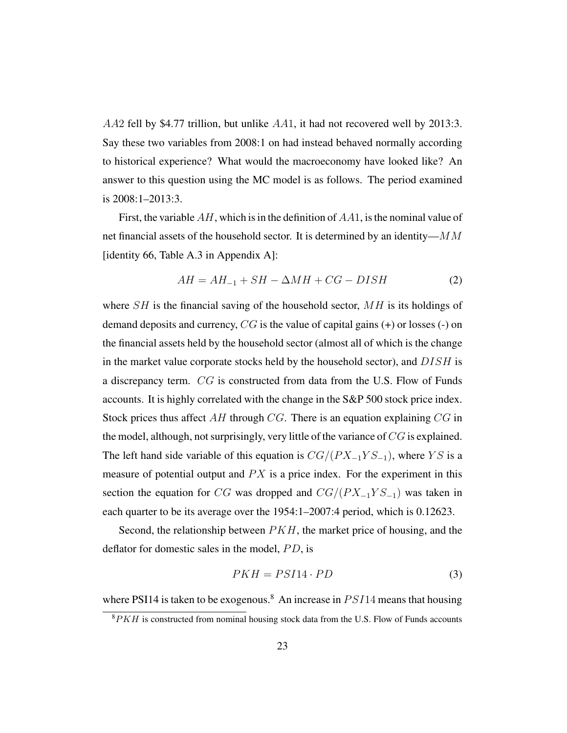AA2 fell by \$4.77 trillion, but unlike  $AA1$ , it had not recovered well by 2013:3. Say these two variables from 2008:1 on had instead behaved normally according to historical experience? What would the macroeconomy have looked like? An answer to this question using the MC model is as follows. The period examined is 2008:1–2013:3.

First, the variable  $AH$ , which is in the definition of  $AA1$ , is the nominal value of net financial assets of the household sector. It is determined by an identity—MM [identity 66, Table A.3 in Appendix A]:

$$
AH = AH_{-1} + SH - \Delta MH + CG - DISH \tag{2}
$$

where  $SH$  is the financial saving of the household sector,  $MH$  is its holdings of demand deposits and currency,  $CG$  is the value of capital gains  $(+)$  or losses  $(-)$  on the financial assets held by the household sector (almost all of which is the change in the market value corporate stocks held by the household sector), and  $DISH$  is a discrepancy term. CG is constructed from data from the U.S. Flow of Funds accounts. It is highly correlated with the change in the S&P 500 stock price index. Stock prices thus affect  $AH$  through CG. There is an equation explaining CG in the model, although, not surprisingly, very little of the variance of CG is explained. The left hand side variable of this equation is  $CG/(PX_{-1}YS_{-1})$ , where YS is a measure of potential output and  $PX$  is a price index. For the experiment in this section the equation for CG was dropped and  $CG/(PX_{-1}YS_{-1})$  was taken in each quarter to be its average over the 1954:1–2007:4 period, which is 0.12623.

Second, the relationship between  $PKH$ , the market price of housing, and the deflator for domestic sales in the model,  $PD$ , is

$$
PKH = PSI14 \cdot PD \tag{3}
$$

where PSI14 is taken to be exogenous.<sup>8</sup> An increase in  $PSI14$  means that housing

 ${}^{8}PKH$  is constructed from nominal housing stock data from the U.S. Flow of Funds accounts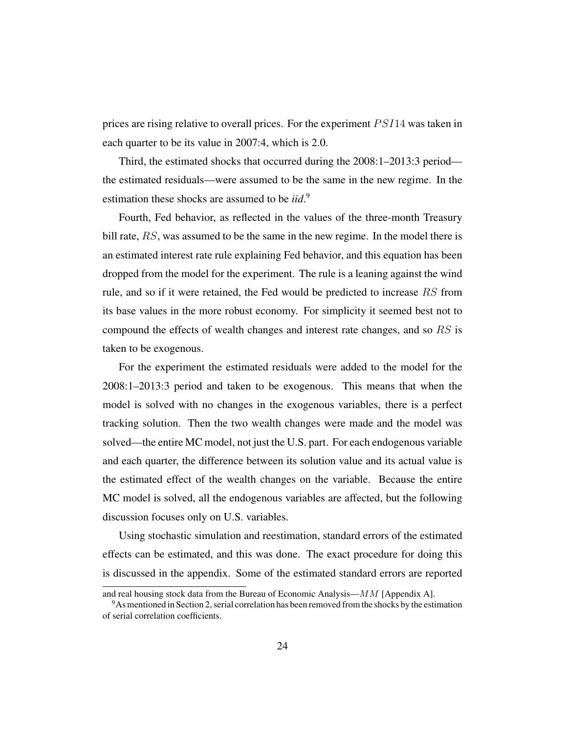prices are rising relative to overall prices. For the experiment  $PSI14$  was taken in each quarter to be its value in 2007:4, which is 2.0.

Third, the estimated shocks that occurred during the 2008:1–2013:3 period the estimated residuals—were assumed to be the same in the new regime. In the estimation these shocks are assumed to be *iid*. 9

Fourth, Fed behavior, as reflected in the values of the three-month Treasury bill rate, RS, was assumed to be the same in the new regime. In the model there is an estimated interest rate rule explaining Fed behavior, and this equation has been dropped from the model for the experiment. The rule is a leaning against the wind rule, and so if it were retained, the Fed would be predicted to increase RS from its base values in the more robust economy. For simplicity it seemed best not to compound the effects of wealth changes and interest rate changes, and so RS is taken to be exogenous.

For the experiment the estimated residuals were added to the model for the 2008:1–2013:3 period and taken to be exogenous. This means that when the model is solved with no changes in the exogenous variables, there is a perfect tracking solution. Then the two wealth changes were made and the model was solved—the entire MC model, not just the U.S. part. For each endogenous variable and each quarter, the difference between its solution value and its actual value is the estimated effect of the wealth changes on the variable. Because the entire MC model is solved, all the endogenous variables are affected, but the following discussion focuses only on U.S. variables.

Using stochastic simulation and reestimation, standard errors of the estimated effects can be estimated, and this was done. The exact procedure for doing this is discussed in the appendix. Some of the estimated standard errors are reported

and real housing stock data from the Bureau of Economic Analysis— $MM$  [Appendix A].

<sup>9</sup>As mentioned in Section 2, serial correlation has been removed from the shocks by the estimation of serial correlation coefficients.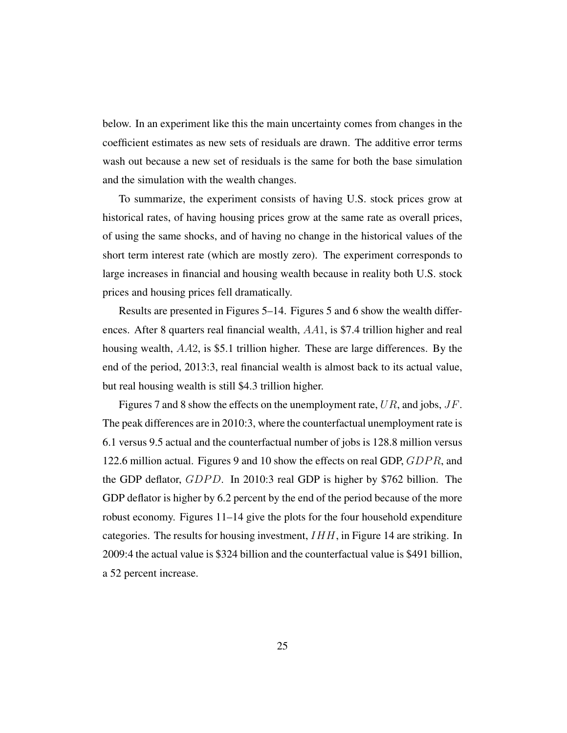below. In an experiment like this the main uncertainty comes from changes in the coefficient estimates as new sets of residuals are drawn. The additive error terms wash out because a new set of residuals is the same for both the base simulation and the simulation with the wealth changes.

To summarize, the experiment consists of having U.S. stock prices grow at historical rates, of having housing prices grow at the same rate as overall prices, of using the same shocks, and of having no change in the historical values of the short term interest rate (which are mostly zero). The experiment corresponds to large increases in financial and housing wealth because in reality both U.S. stock prices and housing prices fell dramatically.

Results are presented in Figures 5–14. Figures 5 and 6 show the wealth differences. After 8 quarters real financial wealth, AA1, is \$7.4 trillion higher and real housing wealth, AA2, is \$5.1 trillion higher. These are large differences. By the end of the period, 2013:3, real financial wealth is almost back to its actual value, but real housing wealth is still \$4.3 trillion higher.

Figures 7 and 8 show the effects on the unemployment rate,  $UR$ , and jobs,  $JF$ . The peak differences are in 2010:3, where the counterfactual unemployment rate is 6.1 versus 9.5 actual and the counterfactual number of jobs is 128.8 million versus 122.6 million actual. Figures 9 and 10 show the effects on real GDP, GDPR, and the GDP deflator, *GDPD*. In 2010:3 real GDP is higher by \$762 billion. The GDP deflator is higher by 6.2 percent by the end of the period because of the more robust economy. Figures 11–14 give the plots for the four household expenditure categories. The results for housing investment,  $IHH$ , in Figure 14 are striking. In 2009:4 the actual value is \$324 billion and the counterfactual value is \$491 billion, a 52 percent increase.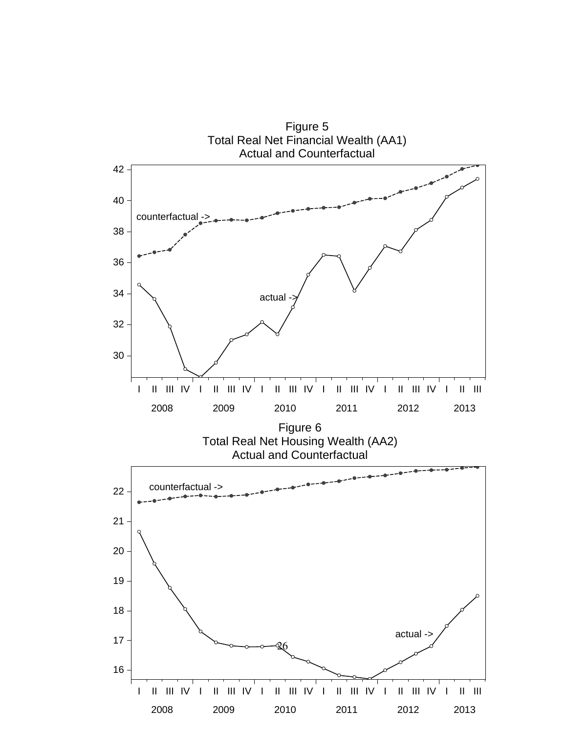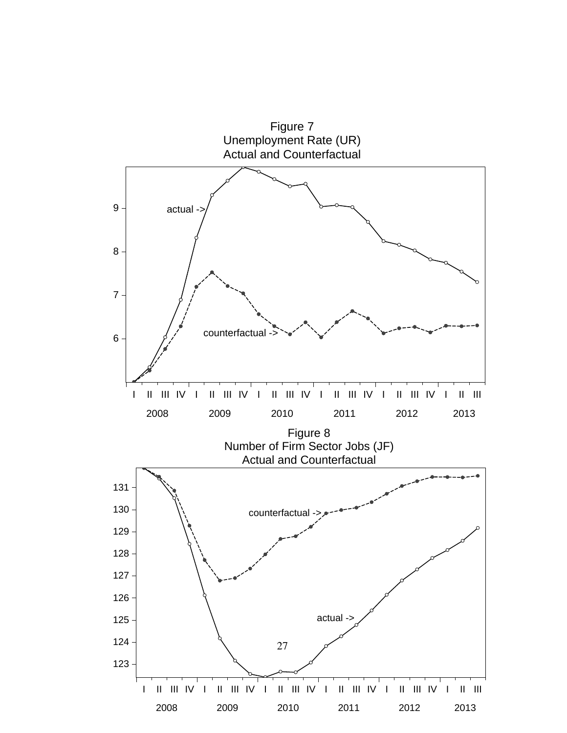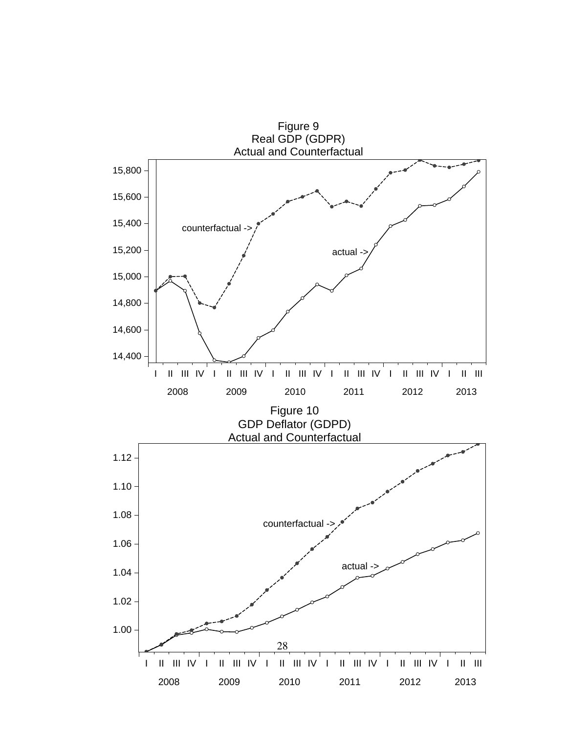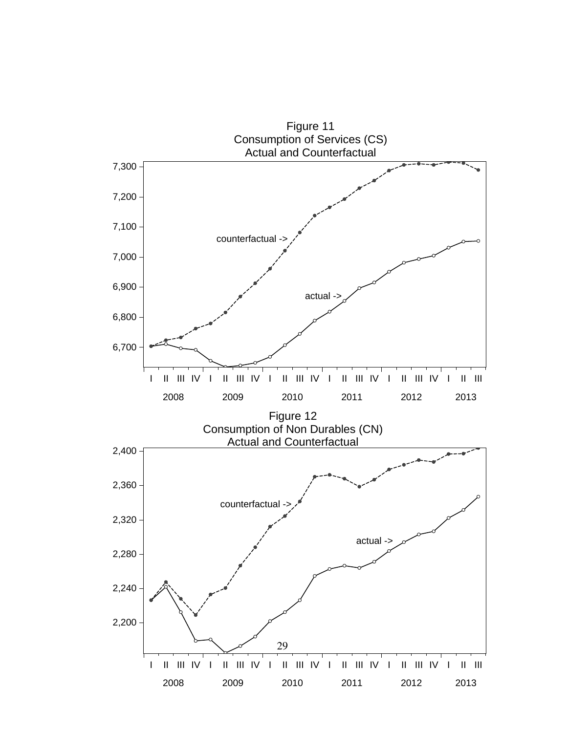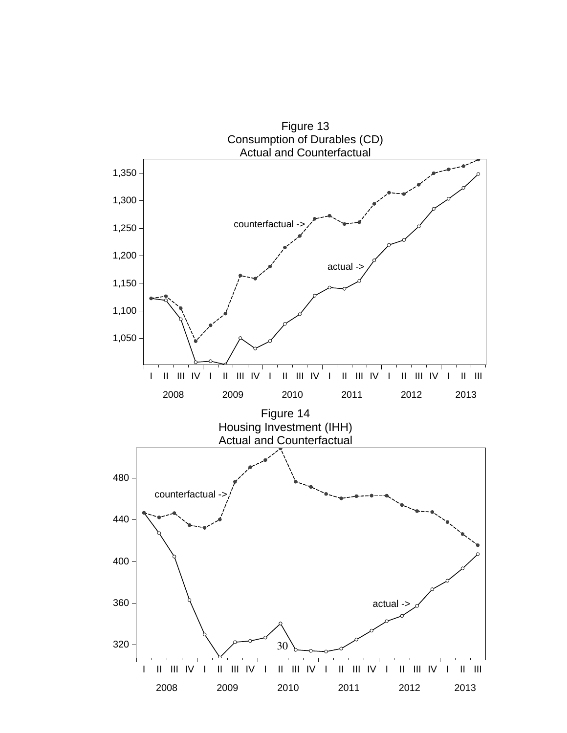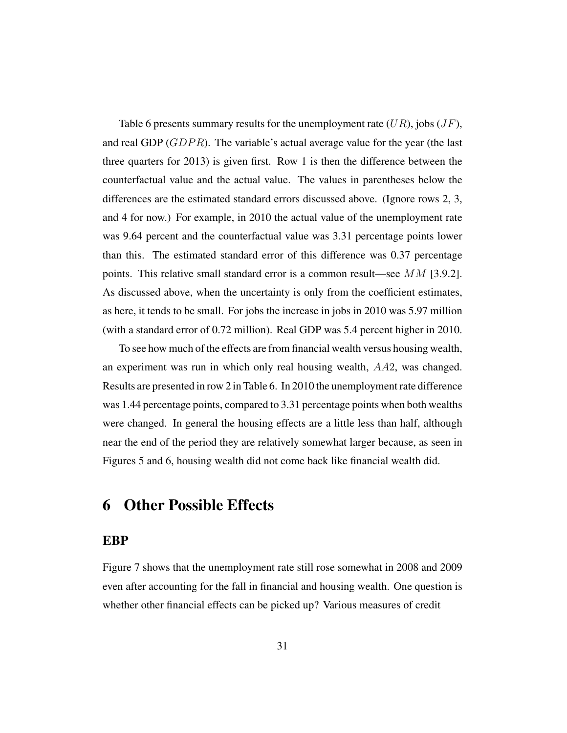Table 6 presents summary results for the unemployment rate  $(UR)$ , jobs  $(JF)$ , and real GDP ( $GDPR$ ). The variable's actual average value for the year (the last three quarters for 2013) is given first. Row 1 is then the difference between the counterfactual value and the actual value. The values in parentheses below the differences are the estimated standard errors discussed above. (Ignore rows 2, 3, and 4 for now.) For example, in 2010 the actual value of the unemployment rate was 9.64 percent and the counterfactual value was 3.31 percentage points lower than this. The estimated standard error of this difference was 0.37 percentage points. This relative small standard error is a common result—see  $MM$  [3.9.2]. As discussed above, when the uncertainty is only from the coefficient estimates, as here, it tends to be small. For jobs the increase in jobs in 2010 was 5.97 million (with a standard error of 0.72 million). Real GDP was 5.4 percent higher in 2010.

To see how much of the effects are from financial wealth versus housing wealth, an experiment was run in which only real housing wealth, AA2, was changed. Results are presented in row 2 in Table 6. In 2010 the unemployment rate difference was 1.44 percentage points, compared to 3.31 percentage points when both wealths were changed. In general the housing effects are a little less than half, although near the end of the period they are relatively somewhat larger because, as seen in Figures 5 and 6, housing wealth did not come back like financial wealth did.

## 6 Other Possible Effects

#### EBP

Figure 7 shows that the unemployment rate still rose somewhat in 2008 and 2009 even after accounting for the fall in financial and housing wealth. One question is whether other financial effects can be picked up? Various measures of credit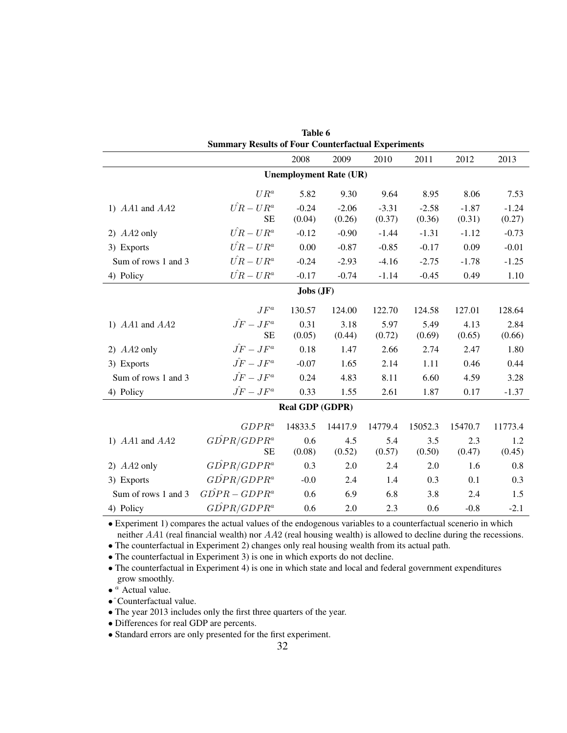| Table 6                                                   |                     |                               |         |         |         |         |         |
|-----------------------------------------------------------|---------------------|-------------------------------|---------|---------|---------|---------|---------|
| <b>Summary Results of Four Counterfactual Experiments</b> |                     |                               |         |         |         |         |         |
|                                                           |                     | 2008                          | 2009    | 2010    | 2011    | 2012    | 2013    |
|                                                           |                     | <b>Unemployment Rate (UR)</b> |         |         |         |         |         |
|                                                           | $UR^a$              | 5.82                          | 9.30    | 9.64    | 8.95    | 8.06    | 7.53    |
| 1) $AA1$ and $AA2$                                        | $\hat{UR} - UR^a$   | $-0.24$                       | $-2.06$ | $-3.31$ | $-2.58$ | $-1.87$ | $-1.24$ |
|                                                           | SE                  | (0.04)                        | (0.26)  | (0.37)  | (0.36)  | (0.31)  | (0.27)  |
| 2) $AA2$ only                                             | $\hat{UR} - UR^a$   | $-0.12$                       | $-0.90$ | $-1.44$ | $-1.31$ | $-1.12$ | $-0.73$ |
| 3) Exports                                                | $\hat{UR} - UR^a$   | 0.00                          | $-0.87$ | $-0.85$ | $-0.17$ | 0.09    | $-0.01$ |
| Sum of rows 1 and 3                                       | $\hat{UR} - UR^a$   | $-0.24$                       | $-2.93$ | $-4.16$ | $-2.75$ | $-1.78$ | $-1.25$ |
| 4) Policy                                                 | $\hat{UR} - UR^a$   | $-0.17$                       | $-0.74$ | $-1.14$ | $-0.45$ | 0.49    | 1.10    |
|                                                           |                     | Jobs(JF)                      |         |         |         |         |         |
|                                                           | $JF^a$              | 130.57                        | 124.00  | 122.70  | 124.58  | 127.01  | 128.64  |
| 1) $AA1$ and $AA2$                                        | $\hat{JF}-JF^a$     | 0.31                          | 3.18    | 5.97    | 5.49    | 4.13    | 2.84    |
|                                                           | <b>SE</b>           | (0.05)                        | (0.44)  | (0.72)  | (0.69)  | (0.65)  | (0.66)  |
| 2) $AA2$ only                                             | $\hat{JF} - JF^a$   | 0.18                          | 1.47    | 2.66    | 2.74    | 2.47    | 1.80    |
| 3) Exports                                                | $\hat{JF} - JF^a$   | $-0.07$                       | 1.65    | 2.14    | 1.11    | 0.46    | 0.44    |
| Sum of rows 1 and 3                                       | $\hat{JF} - JF^a$   | 0.24                          | 4.83    | 8.11    | 6.60    | 4.59    | 3.28    |
| 4) Policy                                                 | $\hat{JF}-JF^a$     | 0.33                          | 1.55    | 2.61    | 1.87    | 0.17    | $-1.37$ |
| <b>Real GDP (GDPR)</b>                                    |                     |                               |         |         |         |         |         |
|                                                           | $GDPR^a$            | 14833.5                       | 14417.9 | 14779.4 | 15052.3 | 15470.7 | 11773.4 |
| 1) $AA1$ and $AA2$                                        | $G\hat{D}PR/GDPR^a$ | 0.6                           | 4.5     | 5.4     | 3.5     | 2.3     | 1.2     |
|                                                           | <b>SE</b>           | (0.08)                        | (0.52)  | (0.57)  | (0.50)  | (0.47)  | (0.45)  |
| 2) $AA2$ only                                             | $G\hat{D}PR/GDPR^a$ | 0.3                           | 2.0     | 2.4     | 2.0     | 1.6     | 0.8     |
| 3) Exports                                                | $G\hat{D}PR/GDPR^a$ | $-0.0$                        | 2.4     | 1.4     | 0.3     | 0.1     | 0.3     |
| Sum of rows 1 and 3                                       | $G\hat{D}PR-GDPR^a$ | 0.6                           | 6.9     | 6.8     | 3.8     | 2.4     | 1.5     |
| 4) Policy                                                 | $G\hat{D}PR/GDPR^a$ | 0.6                           | 2.0     | 2.3     | 0.6     | $-0.8$  | $-2.1$  |

• Experiment 1) compares the actual values of the endogenous variables to a counterfactual scenerio in which neither AA1 (real financial wealth) nor AA2 (real housing wealth) is allowed to decline during the recessions.

• The counterfactual in Experiment 2) changes only real housing wealth from its actual path.

• The counterfactual in Experiment 3) is one in which exports do not decline.

• The counterfactual in Experiment 4) is one in which state and local and federal government expenditures grow smoothly.

 $\bullet$  <sup>*a*</sup> Actual value.

•ˆCounterfactual value.

• The year 2013 includes only the first three quarters of the year.

• Differences for real GDP are percents.

• Standard errors are only presented for the first experiment.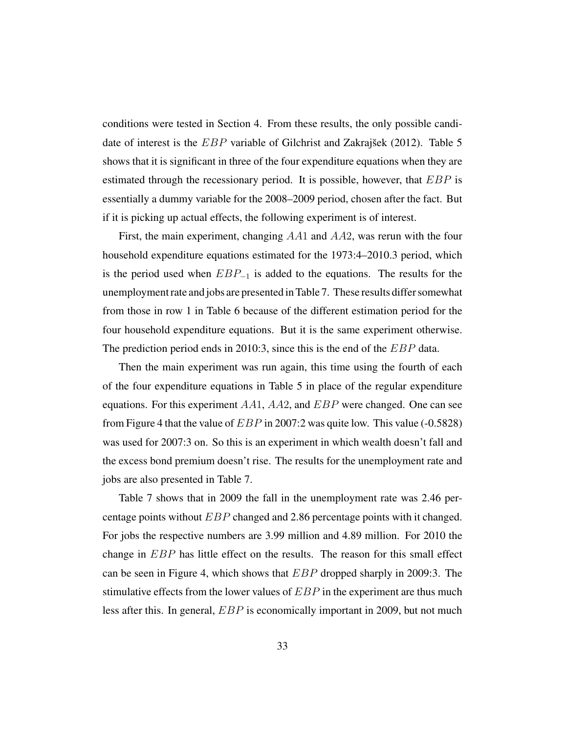conditions were tested in Section 4. From these results, the only possible candidate of interest is the  $EBP$  variable of Gilchrist and Zakrajšek (2012). Table 5 shows that it is significant in three of the four expenditure equations when they are estimated through the recessionary period. It is possible, however, that  $EBP$  is essentially a dummy variable for the 2008–2009 period, chosen after the fact. But if it is picking up actual effects, the following experiment is of interest.

First, the main experiment, changing AA1 and AA2, was rerun with the four household expenditure equations estimated for the 1973:4–2010.3 period, which is the period used when  $EBP_{-1}$  is added to the equations. The results for the unemployment rate and jobs are presented in Table 7. These results differ somewhat from those in row 1 in Table 6 because of the different estimation period for the four household expenditure equations. But it is the same experiment otherwise. The prediction period ends in 2010:3, since this is the end of the EBP data.

Then the main experiment was run again, this time using the fourth of each of the four expenditure equations in Table 5 in place of the regular expenditure equations. For this experiment  $AA1$ ,  $AA2$ , and  $EBP$  were changed. One can see from Figure 4 that the value of  $EBP$  in 2007:2 was quite low. This value (-0.5828) was used for 2007:3 on. So this is an experiment in which wealth doesn't fall and the excess bond premium doesn't rise. The results for the unemployment rate and jobs are also presented in Table 7.

Table 7 shows that in 2009 the fall in the unemployment rate was 2.46 percentage points without EBP changed and 2.86 percentage points with it changed. For jobs the respective numbers are 3.99 million and 4.89 million. For 2010 the change in EBP has little effect on the results. The reason for this small effect can be seen in Figure 4, which shows that EBP dropped sharply in 2009:3. The stimulative effects from the lower values of  $EBP$  in the experiment are thus much less after this. In general, EBP is economically important in 2009, but not much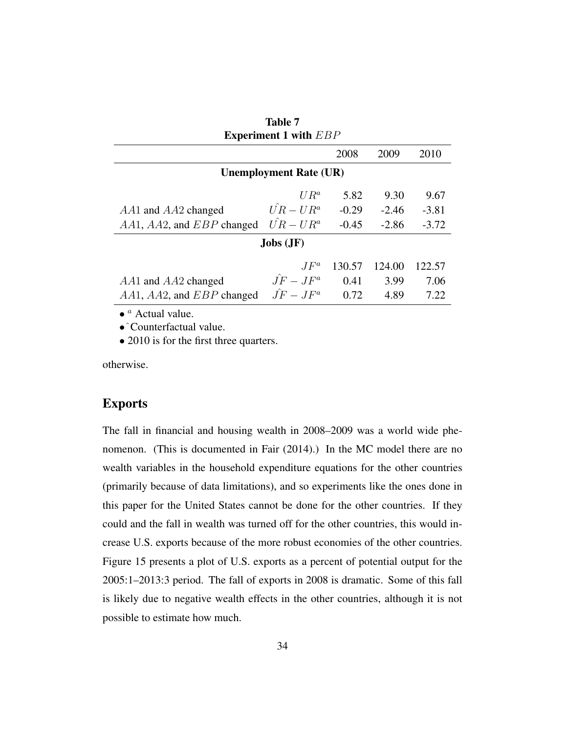| <b>Experiment 1 with EBP</b>                |                   |         |         |         |
|---------------------------------------------|-------------------|---------|---------|---------|
|                                             |                   | 2008    | 2009    | 2010    |
| <b>Unemployment Rate (UR)</b>               |                   |         |         |         |
|                                             | $UR^a$            | 5.82    | 9.30    | 9.67    |
| $AA1$ and $AA2$ changed                     | $\hat{UR} - UR^a$ | $-0.29$ | $-2.46$ | $-3.81$ |
| $AA1, AA2,$ and $EBP$ changed               | $\hat{UR} - UR^a$ | $-0.45$ | $-2.86$ | $-3.72$ |
| $Jobs (JF)$                                 |                   |         |         |         |
|                                             | $JF^a$            | 130.57  | 124.00  | 122.57  |
| $AA1$ and $AA2$ changed                     | $\hat{J}F-JF^a$   | 0.41    | 3.99    | 7.06    |
| $AA1, AA2,$ and $EBP$ changed               | $\hat{J}F-JF^a$   | 0.72    | 4.89    | 7.22    |
| $\bullet$ <sup><i>a</i></sup> Actual value. |                   |         |         |         |

Table 7

•ˆCounterfactual value.

• 2010 is for the first three quarters.

otherwise.

#### **Exports**

The fall in financial and housing wealth in 2008–2009 was a world wide phenomenon. (This is documented in Fair (2014).) In the MC model there are no wealth variables in the household expenditure equations for the other countries (primarily because of data limitations), and so experiments like the ones done in this paper for the United States cannot be done for the other countries. If they could and the fall in wealth was turned off for the other countries, this would increase U.S. exports because of the more robust economies of the other countries. Figure 15 presents a plot of U.S. exports as a percent of potential output for the 2005:1–2013:3 period. The fall of exports in 2008 is dramatic. Some of this fall is likely due to negative wealth effects in the other countries, although it is not possible to estimate how much.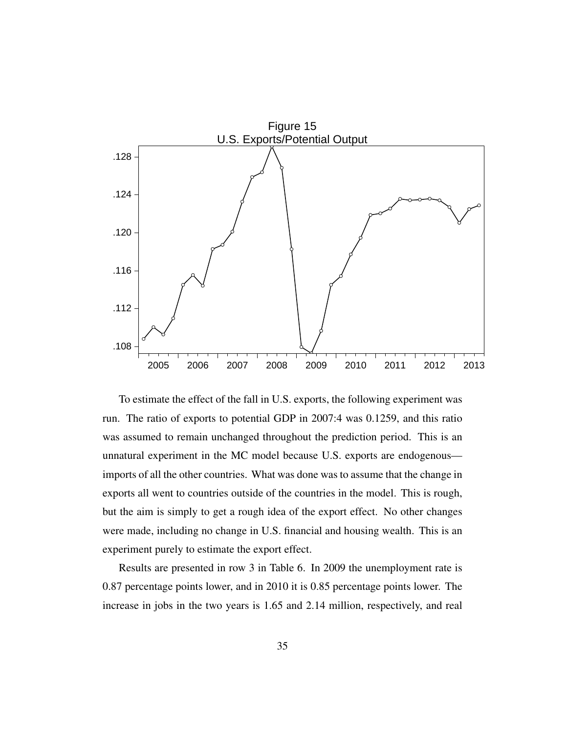

To estimate the effect of the fall in U.S. exports, the following experiment was run. The ratio of exports to potential GDP in 2007:4 was 0.1259, and this ratio was assumed to remain unchanged throughout the prediction period. This is an unnatural experiment in the MC model because U.S. exports are endogenous imports of all the other countries. What was done was to assume that the change in exports all went to countries outside of the countries in the model. This is rough, but the aim is simply to get a rough idea of the export effect. No other changes were made, including no change in U.S. financial and housing wealth. This is an experiment purely to estimate the export effect.

Results are presented in row 3 in Table 6. In 2009 the unemployment rate is 0.87 percentage points lower, and in 2010 it is 0.85 percentage points lower. The increase in jobs in the two years is 1.65 and 2.14 million, respectively, and real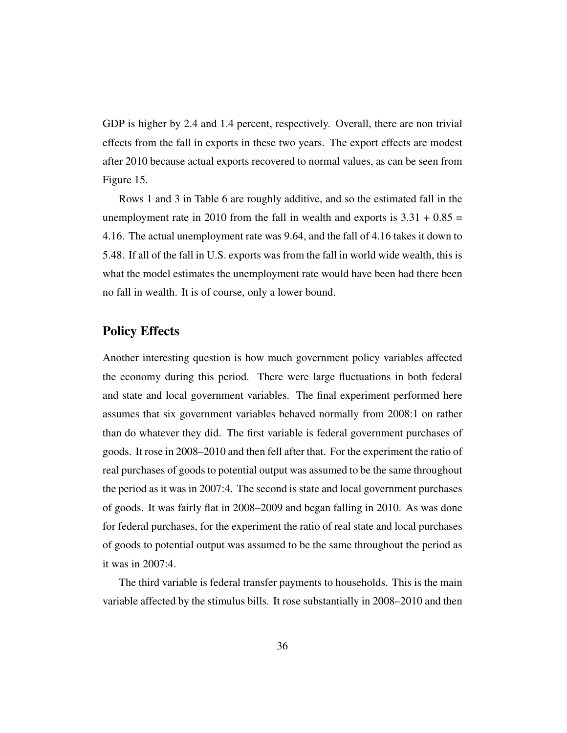GDP is higher by 2.4 and 1.4 percent, respectively. Overall, there are non trivial effects from the fall in exports in these two years. The export effects are modest after 2010 because actual exports recovered to normal values, as can be seen from Figure 15.

Rows 1 and 3 in Table 6 are roughly additive, and so the estimated fall in the unemployment rate in 2010 from the fall in wealth and exports is  $3.31 + 0.85 =$ 4.16. The actual unemployment rate was 9.64, and the fall of 4.16 takes it down to 5.48. If all of the fall in U.S. exports was from the fall in world wide wealth, this is what the model estimates the unemployment rate would have been had there been no fall in wealth. It is of course, only a lower bound.

#### Policy Effects

Another interesting question is how much government policy variables affected the economy during this period. There were large fluctuations in both federal and state and local government variables. The final experiment performed here assumes that six government variables behaved normally from 2008:1 on rather than do whatever they did. The first variable is federal government purchases of goods. It rose in 2008–2010 and then fell after that. For the experiment the ratio of real purchases of goods to potential output was assumed to be the same throughout the period as it was in 2007:4. The second is state and local government purchases of goods. It was fairly flat in 2008–2009 and began falling in 2010. As was done for federal purchases, for the experiment the ratio of real state and local purchases of goods to potential output was assumed to be the same throughout the period as it was in 2007:4.

The third variable is federal transfer payments to households. This is the main variable affected by the stimulus bills. It rose substantially in 2008–2010 and then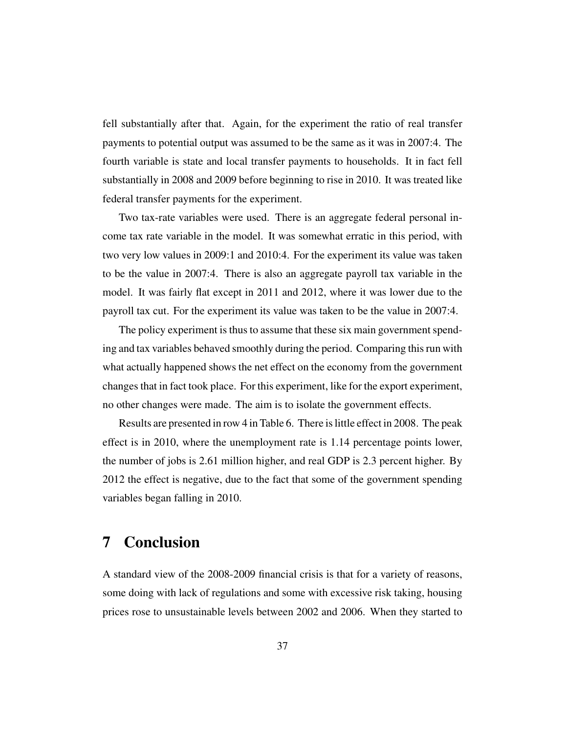fell substantially after that. Again, for the experiment the ratio of real transfer payments to potential output was assumed to be the same as it was in 2007:4. The fourth variable is state and local transfer payments to households. It in fact fell substantially in 2008 and 2009 before beginning to rise in 2010. It was treated like federal transfer payments for the experiment.

Two tax-rate variables were used. There is an aggregate federal personal income tax rate variable in the model. It was somewhat erratic in this period, with two very low values in 2009:1 and 2010:4. For the experiment its value was taken to be the value in 2007:4. There is also an aggregate payroll tax variable in the model. It was fairly flat except in 2011 and 2012, where it was lower due to the payroll tax cut. For the experiment its value was taken to be the value in 2007:4.

The policy experiment is thus to assume that these six main government spending and tax variables behaved smoothly during the period. Comparing this run with what actually happened shows the net effect on the economy from the government changes that in fact took place. For this experiment, like for the export experiment, no other changes were made. The aim is to isolate the government effects.

Results are presented in row 4 in Table 6. There is little effect in 2008. The peak effect is in 2010, where the unemployment rate is 1.14 percentage points lower, the number of jobs is 2.61 million higher, and real GDP is 2.3 percent higher. By 2012 the effect is negative, due to the fact that some of the government spending variables began falling in 2010.

## 7 Conclusion

A standard view of the 2008-2009 financial crisis is that for a variety of reasons, some doing with lack of regulations and some with excessive risk taking, housing prices rose to unsustainable levels between 2002 and 2006. When they started to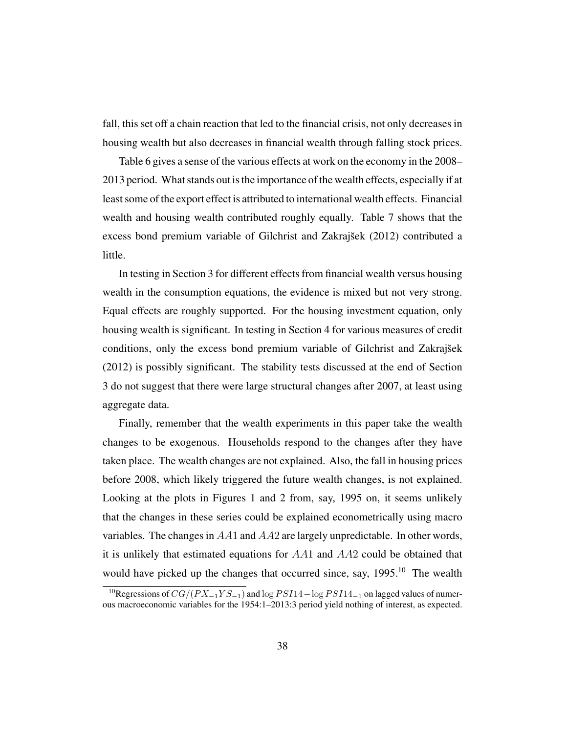fall, this set off a chain reaction that led to the financial crisis, not only decreases in housing wealth but also decreases in financial wealth through falling stock prices.

Table 6 gives a sense of the various effects at work on the economy in the 2008– 2013 period. What stands out is the importance of the wealth effects, especially if at least some of the export effect is attributed to international wealth effects. Financial wealth and housing wealth contributed roughly equally. Table 7 shows that the excess bond premium variable of Gilchrist and Zakrajšek (2012) contributed a little.

In testing in Section 3 for different effects from financial wealth versus housing wealth in the consumption equations, the evidence is mixed but not very strong. Equal effects are roughly supported. For the housing investment equation, only housing wealth is significant. In testing in Section 4 for various measures of credit conditions, only the excess bond premium variable of Gilchrist and Zakrajšek (2012) is possibly significant. The stability tests discussed at the end of Section 3 do not suggest that there were large structural changes after 2007, at least using aggregate data.

Finally, remember that the wealth experiments in this paper take the wealth changes to be exogenous. Households respond to the changes after they have taken place. The wealth changes are not explained. Also, the fall in housing prices before 2008, which likely triggered the future wealth changes, is not explained. Looking at the plots in Figures 1 and 2 from, say, 1995 on, it seems unlikely that the changes in these series could be explained econometrically using macro variables. The changes in AA1 and AA2 are largely unpredictable. In other words, it is unlikely that estimated equations for AA1 and AA2 could be obtained that would have picked up the changes that occurred since, say,  $1995$ <sup>10</sup> The wealth

<sup>&</sup>lt;sup>10</sup>Regressions of  $CG/(PX_{-1}YS_{-1})$  and log  $PSI14-\log PSI14_{-1}$  on lagged values of numerous macroeconomic variables for the 1954:1–2013:3 period yield nothing of interest, as expected.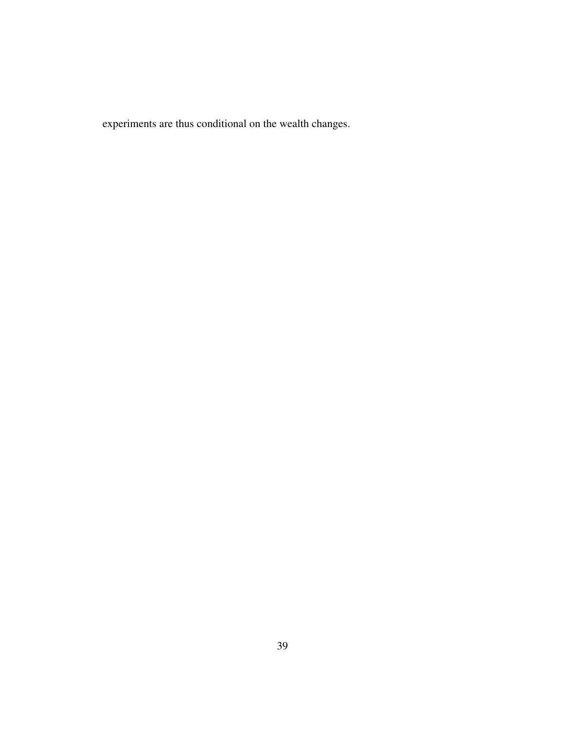experiments are thus conditional on the wealth changes.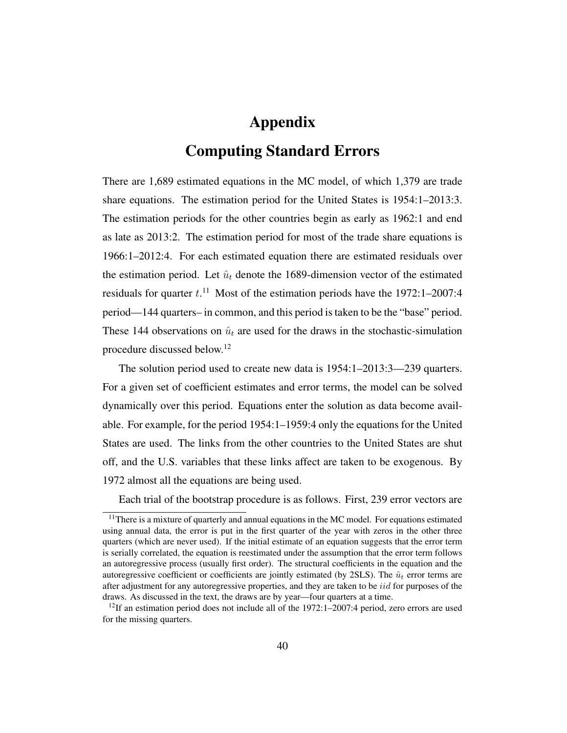# Appendix

## Computing Standard Errors

There are 1,689 estimated equations in the MC model, of which 1,379 are trade share equations. The estimation period for the United States is 1954:1–2013:3. The estimation periods for the other countries begin as early as 1962:1 and end as late as 2013:2. The estimation period for most of the trade share equations is 1966:1–2012:4. For each estimated equation there are estimated residuals over the estimation period. Let  $\hat{u}_t$  denote the 1689-dimension vector of the estimated residuals for quarter  $t$ .<sup>11</sup> Most of the estimation periods have the 1972:1–2007:4 period—144 quarters– in common, and this period is taken to be the "base" period. These 144 observations on  $\hat{u}_t$  are used for the draws in the stochastic-simulation procedure discussed below.<sup>12</sup>

The solution period used to create new data is 1954:1–2013:3—239 quarters. For a given set of coefficient estimates and error terms, the model can be solved dynamically over this period. Equations enter the solution as data become available. For example, for the period 1954:1–1959:4 only the equations for the United States are used. The links from the other countries to the United States are shut off, and the U.S. variables that these links affect are taken to be exogenous. By 1972 almost all the equations are being used.

Each trial of the bootstrap procedure is as follows. First, 239 error vectors are

<sup>&</sup>lt;sup>11</sup>There is a mixture of quarterly and annual equations in the MC model. For equations estimated using annual data, the error is put in the first quarter of the year with zeros in the other three quarters (which are never used). If the initial estimate of an equation suggests that the error term is serially correlated, the equation is reestimated under the assumption that the error term follows an autoregressive process (usually first order). The structural coefficients in the equation and the autoregressive coefficient or coefficients are jointly estimated (by 2SLS). The  $\hat{u}_t$  error terms are after adjustment for any autoregressive properties, and they are taken to be *iid* for purposes of the draws. As discussed in the text, the draws are by year—four quarters at a time.

<sup>&</sup>lt;sup>12</sup>If an estimation period does not include all of the  $1972:1-2007:4$  period, zero errors are used for the missing quarters.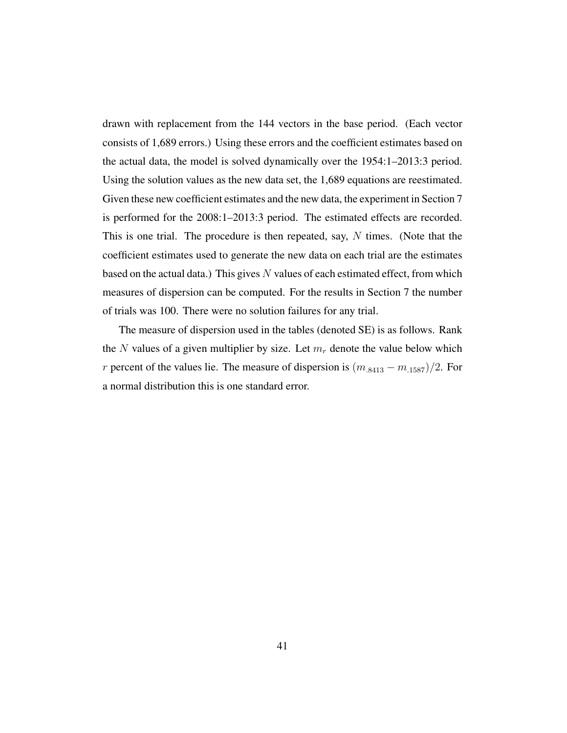drawn with replacement from the 144 vectors in the base period. (Each vector consists of 1,689 errors.) Using these errors and the coefficient estimates based on the actual data, the model is solved dynamically over the 1954:1–2013:3 period. Using the solution values as the new data set, the 1,689 equations are reestimated. Given these new coefficient estimates and the new data, the experiment in Section 7 is performed for the 2008:1–2013:3 period. The estimated effects are recorded. This is one trial. The procedure is then repeated, say,  $N$  times. (Note that the coefficient estimates used to generate the new data on each trial are the estimates based on the actual data.) This gives  $N$  values of each estimated effect, from which measures of dispersion can be computed. For the results in Section 7 the number of trials was 100. There were no solution failures for any trial.

The measure of dispersion used in the tables (denoted SE) is as follows. Rank the N values of a given multiplier by size. Let  $m_r$  denote the value below which r percent of the values lie. The measure of dispersion is  $(m_{.8413} - m_{.1587})/2$ . For a normal distribution this is one standard error.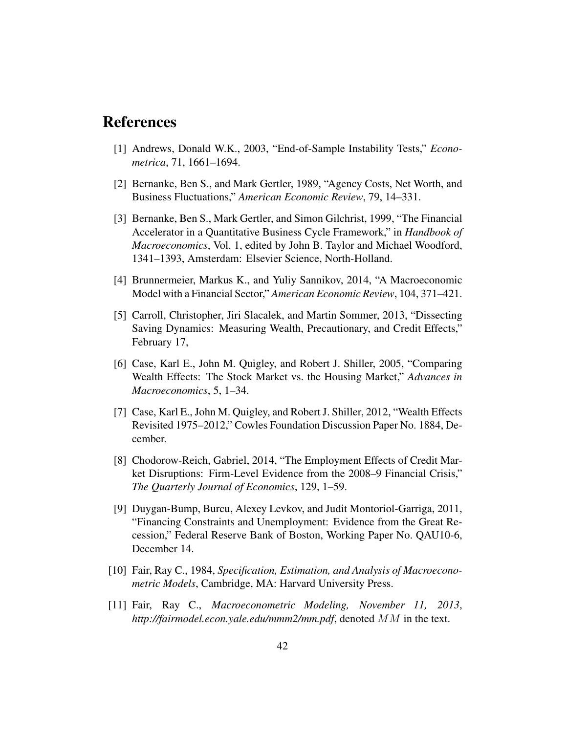### References

- [1] Andrews, Donald W.K., 2003, "End-of-Sample Instability Tests," *Econometrica*, 71, 1661–1694.
- [2] Bernanke, Ben S., and Mark Gertler, 1989, "Agency Costs, Net Worth, and Business Fluctuations," *American Economic Review*, 79, 14–331.
- [3] Bernanke, Ben S., Mark Gertler, and Simon Gilchrist, 1999, "The Financial Accelerator in a Quantitative Business Cycle Framework," in *Handbook of Macroeconomics*, Vol. 1, edited by John B. Taylor and Michael Woodford, 1341–1393, Amsterdam: Elsevier Science, North-Holland.
- [4] Brunnermeier, Markus K., and Yuliy Sannikov, 2014, "A Macroeconomic Model with a Financial Sector," *American Economic Review*, 104, 371–421.
- [5] Carroll, Christopher, Jiri Slacalek, and Martin Sommer, 2013, "Dissecting Saving Dynamics: Measuring Wealth, Precautionary, and Credit Effects," February 17,
- [6] Case, Karl E., John M. Quigley, and Robert J. Shiller, 2005, "Comparing Wealth Effects: The Stock Market vs. the Housing Market," *Advances in Macroeconomics*, 5, 1–34.
- [7] Case, Karl E., John M. Quigley, and Robert J. Shiller, 2012, "Wealth Effects Revisited 1975–2012," Cowles Foundation Discussion Paper No. 1884, December.
- [8] Chodorow-Reich, Gabriel, 2014, "The Employment Effects of Credit Market Disruptions: Firm-Level Evidence from the 2008–9 Financial Crisis," *The Quarterly Journal of Economics*, 129, 1–59.
- [9] Duygan-Bump, Burcu, Alexey Levkov, and Judit Montoriol-Garriga, 2011, "Financing Constraints and Unemployment: Evidence from the Great Recession," Federal Reserve Bank of Boston, Working Paper No. QAU10-6, December 14.
- [10] Fair, Ray C., 1984, *Specification, Estimation, and Analysis of Macroeconometric Models*, Cambridge, MA: Harvard University Press.
- [11] Fair, Ray C., *Macroeconometric Modeling, November 11, 2013*, *http://fairmodel.econ.yale.edu/mmm2/mm.pdf*, denoted MM in the text.